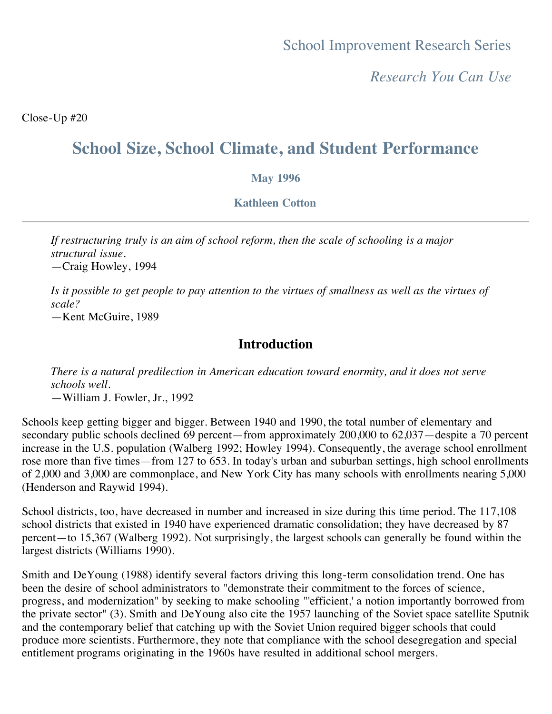*Research You Can Use*

Close-Up #20

# **School Size, School Climate, and Student Performance**

#### **May 1996**

#### **Kathleen Cotton**

*If restructuring truly is an aim of school reform, then the scale of schooling is a major structural issue.* —Craig Howley, 1994

*Is it possible to get people to pay attention to the virtues of smallness as well as the virtues of scale?*

—Kent McGuire, 1989

## **Introduction**

*There is a natural predilection in American education toward enormity, and it does not serve schools well.* —William J. Fowler, Jr., 1992

Schools keep getting bigger and bigger. Between 1940 and 1990, the total number of elementary and secondary public schools declined 69 percent—from approximately 200,000 to 62,037—despite a 70 percent increase in the U.S. population (Walberg 1992; Howley 1994). Consequently, the average school enrollment rose more than five times—from 127 to 653. In today's urban and suburban settings, high school enrollments of 2,000 and 3,000 are commonplace, and New York City has many schools with enrollments nearing 5,000 (Henderson and Raywid 1994).

School districts, too, have decreased in number and increased in size during this time period. The 117,108 school districts that existed in 1940 have experienced dramatic consolidation; they have decreased by 87 percent—to 15,367 (Walberg 1992). Not surprisingly, the largest schools can generally be found within the largest districts (Williams 1990).

Smith and DeYoung (1988) identify several factors driving this long-term consolidation trend. One has been the desire of school administrators to "demonstrate their commitment to the forces of science, progress, and modernization" by seeking to make schooling "'efficient,' a notion importantly borrowed from the private sector" (3). Smith and DeYoung also cite the 1957 launching of the Soviet space satellite Sputnik and the contemporary belief that catching up with the Soviet Union required bigger schools that could produce more scientists. Furthermore, they note that compliance with the school desegregation and special entitlement programs originating in the 1960s have resulted in additional school mergers.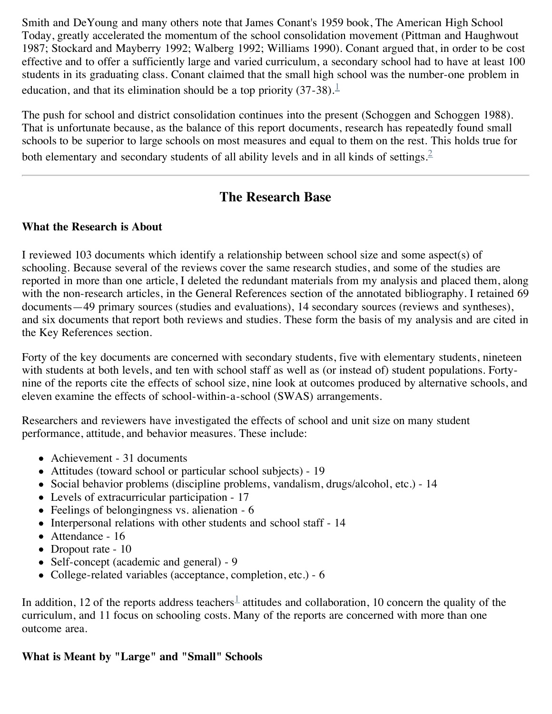Smith and DeYoung and many others note that James Conant's 1959 book, The American High School Today, greatly accelerated the momentum of the school consolidation movement (Pittman and Haughwout 1987; Stockard and Mayberry 1992; Walberg 1992; Williams 1990). Conant argued that, in order to be cost effective and to offer a sufficiently large and varied curriculum, a secondary school had to have at least 100 students in its graduating class. Conant claimed that the small high school was the number-one problem in education, and that its elimination should be a top priority  $(37-38)$ .<sup>[1](file:///Users/jeffginger/Desktop/c020.html#one)</sup>

The push for school and district consolidation continues into the present (Schoggen and Schoggen 1988). That is unfortunate because, as the balance of this report documents, research has repeatedly found small schools to be superior to large schools on most measures and equal to them on the rest. This holds true for both elementary and secondary students of all ability levels and in all kinds of settings.<sup>[2](file:///Users/jeffginger/Desktop/c020.html#two)</sup>

## **The Research Base**

## **What the Research is About**

I reviewed 103 documents which identify a relationship between school size and some aspect(s) of schooling. Because several of the reviews cover the same research studies, and some of the studies are reported in more than one article, I deleted the redundant materials from my analysis and placed them, along with the non-research articles, in the General References section of the annotated bibliography. I retained 69 documents—49 primary sources (studies and evaluations), 14 secondary sources (reviews and syntheses), and six documents that report both reviews and studies. These form the basis of my analysis and are cited in the Key References section.

Forty of the key documents are concerned with secondary students, five with elementary students, nineteen with students at both levels, and ten with school staff as well as (or instead of) student populations. Fortynine of the reports cite the effects of school size, nine look at outcomes produced by alternative schools, and eleven examine the effects of school-within-a-school (SWAS) arrangements.

Researchers and reviewers have investigated the effects of school and unit size on many student performance, attitude, and behavior measures. These include:

- Achievement 31 documents
- Attitudes (toward school or particular school subjects) 19
- Social behavior problems (discipline problems, vandalism, drugs/alcohol, etc.) 14
- Levels of extracurricular participation 17
- Feelings of belongingness vs. alienation 6
- Interpersonal relations with other students and school staff 14
- Attendance 16
- Dropout rate 10
- Self-concept (academic and general) 9
- College-related variables (acceptance, completion, etc.) 6

In addition, [1](file:///Users/jeffginger/Desktop/c020.html#one)2 of the reports address teachers<sup>1</sup> attitudes and collaboration, 10 concern the quality of the curriculum, and 11 focus on schooling costs. Many of the reports are concerned with more than one outcome area.

## **What is Meant by "Large" and "Small" Schools**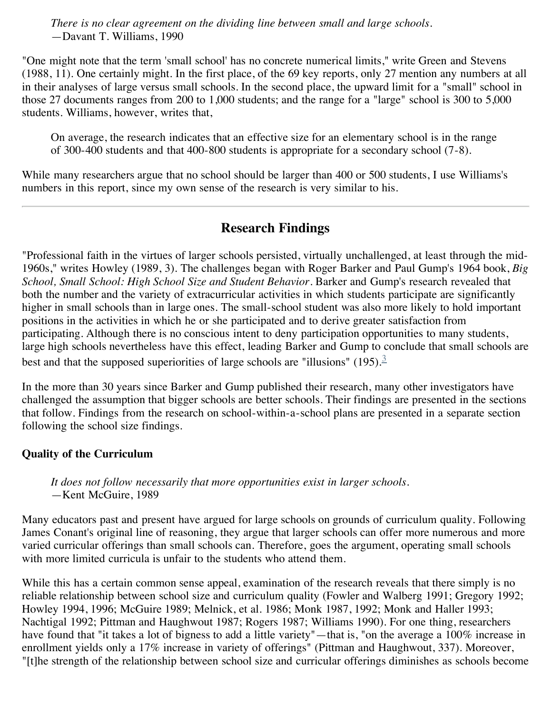*There is no clear agreement on the dividing line between small and large schools.* —Davant T. Williams, 1990

"One might note that the term 'small school' has no concrete numerical limits," write Green and Stevens (1988, 11). One certainly might. In the first place, of the 69 key reports, only 27 mention any numbers at all in their analyses of large versus small schools. In the second place, the upward limit for a "small" school in those 27 documents ranges from 200 to 1,000 students; and the range for a "large" school is 300 to 5,000 students. Williams, however, writes that,

On average, the research indicates that an effective size for an elementary school is in the range of 300-400 students and that 400-800 students is appropriate for a secondary school (7-8).

While many researchers argue that no school should be larger than 400 or 500 students, I use Williams's numbers in this report, since my own sense of the research is very similar to his.

## **Research Findings**

"Professional faith in the virtues of larger schools persisted, virtually unchallenged, at least through the mid-1960s," writes Howley (1989, 3). The challenges began with Roger Barker and Paul Gump's 1964 book, *Big School, Small School: High School Size and Student Behavior*. Barker and Gump's research revealed that both the number and the variety of extracurricular activities in which students participate are significantly higher in small schools than in large ones. The small-school student was also more likely to hold important positions in the activities in which he or she participated and to derive greater satisfaction from participating. Although there is no conscious intent to deny participation opportunities to many students, large high schools nevertheless have this effect, leading Barker and Gump to conclude that small schools are best and that the supposed superiorities of large schools are "illusions" (195).<sup>[3](file:///Users/jeffginger/Desktop/c020.html#three)</sup>

In the more than 30 years since Barker and Gump published their research, many other investigators have challenged the assumption that bigger schools are better schools. Their findings are presented in the sections that follow. Findings from the research on school-within-a-school plans are presented in a separate section following the school size findings.

## **Quality of the Curriculum**

*It does not follow necessarily that more opportunities exist in larger schools.* —Kent McGuire, 1989

Many educators past and present have argued for large schools on grounds of curriculum quality. Following James Conant's original line of reasoning, they argue that larger schools can offer more numerous and more varied curricular offerings than small schools can. Therefore, goes the argument, operating small schools with more limited curricula is unfair to the students who attend them.

While this has a certain common sense appeal, examination of the research reveals that there simply is no reliable relationship between school size and curriculum quality (Fowler and Walberg 1991; Gregory 1992; Howley 1994, 1996; McGuire 1989; Melnick, et al. 1986; Monk 1987, 1992; Monk and Haller 1993; Nachtigal 1992; Pittman and Haughwout 1987; Rogers 1987; Williams 1990). For one thing, researchers have found that "it takes a lot of bigness to add a little variety"—that is, "on the average a 100% increase in enrollment yields only a 17% increase in variety of offerings" (Pittman and Haughwout, 337). Moreover, "[t]he strength of the relationship between school size and curricular offerings diminishes as schools become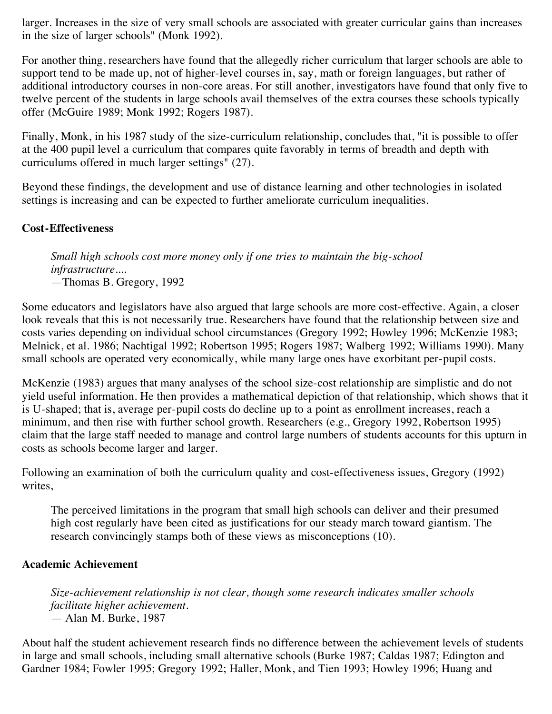larger. Increases in the size of very small schools are associated with greater curricular gains than increases in the size of larger schools" (Monk 1992).

For another thing, researchers have found that the allegedly richer curriculum that larger schools are able to support tend to be made up, not of higher-level courses in, say, math or foreign languages, but rather of additional introductory courses in non-core areas. For still another, investigators have found that only five to twelve percent of the students in large schools avail themselves of the extra courses these schools typically offer (McGuire 1989; Monk 1992; Rogers 1987).

Finally, Monk, in his 1987 study of the size-curriculum relationship, concludes that, "it is possible to offer at the 400 pupil level a curriculum that compares quite favorably in terms of breadth and depth with curriculums offered in much larger settings" (27).

Beyond these findings, the development and use of distance learning and other technologies in isolated settings is increasing and can be expected to further ameliorate curriculum inequalities.

## **Cost-Effectiveness**

*Small high schools cost more money only if one tries to maintain the big-school infrastructure....* —Thomas B. Gregory, 1992

Some educators and legislators have also argued that large schools are more cost-effective. Again, a closer look reveals that this is not necessarily true. Researchers have found that the relationship between size and costs varies depending on individual school circumstances (Gregory 1992; Howley 1996; McKenzie 1983; Melnick, et al. 1986; Nachtigal 1992; Robertson 1995; Rogers 1987; Walberg 1992; Williams 1990). Many small schools are operated very economically, while many large ones have exorbitant per-pupil costs.

McKenzie (1983) argues that many analyses of the school size-cost relationship are simplistic and do not yield useful information. He then provides a mathematical depiction of that relationship, which shows that it is U-shaped; that is, average per-pupil costs do decline up to a point as enrollment increases, reach a minimum, and then rise with further school growth. Researchers (e.g., Gregory 1992, Robertson 1995) claim that the large staff needed to manage and control large numbers of students accounts for this upturn in costs as schools become larger and larger.

Following an examination of both the curriculum quality and cost-effectiveness issues, Gregory (1992) writes,

The perceived limitations in the program that small high schools can deliver and their presumed high cost regularly have been cited as justifications for our steady march toward giantism. The research convincingly stamps both of these views as misconceptions (10).

## **Academic Achievement**

*Size-achievement relationship is not clear, though some research indicates smaller schools facilitate higher achievement.* — Alan M. Burke, 1987

About half the student achievement research finds no difference between the achievement levels of students in large and small schools, including small alternative schools (Burke 1987; Caldas 1987; Edington and Gardner 1984; Fowler 1995; Gregory 1992; Haller, Monk, and Tien 1993; Howley 1996; Huang and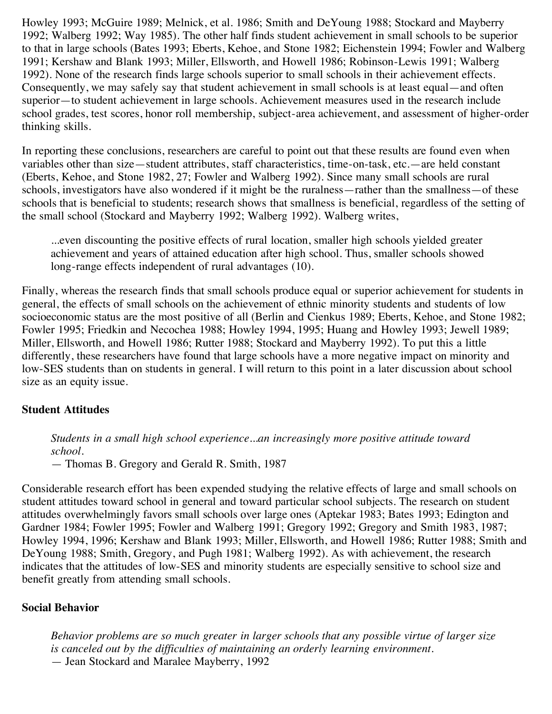Howley 1993; McGuire 1989; Melnick, et al. 1986; Smith and DeYoung 1988; Stockard and Mayberry 1992; Walberg 1992; Way 1985). The other half finds student achievement in small schools to be superior to that in large schools (Bates 1993; Eberts, Kehoe, and Stone 1982; Eichenstein 1994; Fowler and Walberg 1991; Kershaw and Blank 1993; Miller, Ellsworth, and Howell 1986; Robinson-Lewis 1991; Walberg 1992). None of the research finds large schools superior to small schools in their achievement effects. Consequently, we may safely say that student achievement in small schools is at least equal—and often superior—to student achievement in large schools. Achievement measures used in the research include school grades, test scores, honor roll membership, subject-area achievement, and assessment of higher-order thinking skills.

In reporting these conclusions, researchers are careful to point out that these results are found even when variables other than size—student attributes, staff characteristics, time-on-task, etc.—are held constant (Eberts, Kehoe, and Stone 1982, 27; Fowler and Walberg 1992). Since many small schools are rural schools, investigators have also wondered if it might be the ruralness—rather than the smallness—of these schools that is beneficial to students; research shows that smallness is beneficial, regardless of the setting of the small school (Stockard and Mayberry 1992; Walberg 1992). Walberg writes,

...even discounting the positive effects of rural location, smaller high schools yielded greater achievement and years of attained education after high school. Thus, smaller schools showed long-range effects independent of rural advantages (10).

Finally, whereas the research finds that small schools produce equal or superior achievement for students in general, the effects of small schools on the achievement of ethnic minority students and students of low socioeconomic status are the most positive of all (Berlin and Cienkus 1989; Eberts, Kehoe, and Stone 1982; Fowler 1995; Friedkin and Necochea 1988; Howley 1994, 1995; Huang and Howley 1993; Jewell 1989; Miller, Ellsworth, and Howell 1986; Rutter 1988; Stockard and Mayberry 1992). To put this a little differently, these researchers have found that large schools have a more negative impact on minority and low-SES students than on students in general. I will return to this point in a later discussion about school size as an equity issue.

## **Student Attitudes**

*Students in a small high school experience...an increasingly more positive attitude toward school.* 

— Thomas B. Gregory and Gerald R. Smith, 1987

Considerable research effort has been expended studying the relative effects of large and small schools on student attitudes toward school in general and toward particular school subjects. The research on student attitudes overwhelmingly favors small schools over large ones (Aptekar 1983; Bates 1993; Edington and Gardner 1984; Fowler 1995; Fowler and Walberg 1991; Gregory 1992; Gregory and Smith 1983, 1987; Howley 1994, 1996; Kershaw and Blank 1993; Miller, Ellsworth, and Howell 1986; Rutter 1988; Smith and DeYoung 1988; Smith, Gregory, and Pugh 1981; Walberg 1992). As with achievement, the research indicates that the attitudes of low-SES and minority students are especially sensitive to school size and benefit greatly from attending small schools.

#### **Social Behavior**

*Behavior problems are so much greater in larger schools that any possible virtue of larger size is canceled out by the difficulties of maintaining an orderly learning environment.* — Jean Stockard and Maralee Mayberry, 1992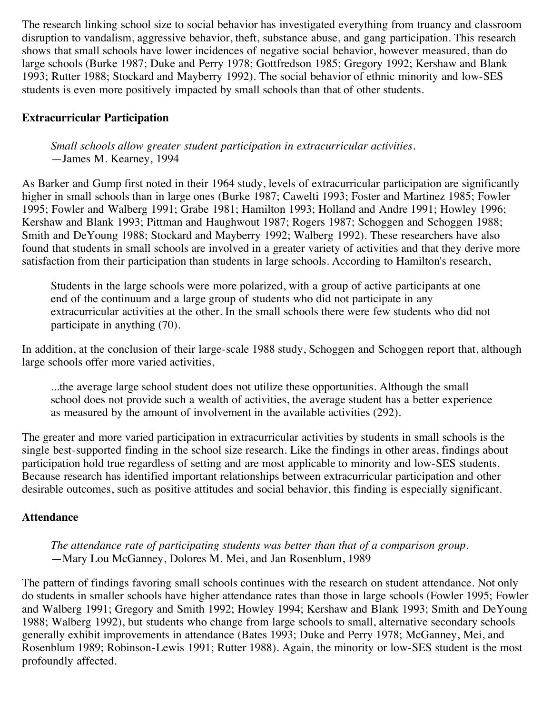The research linking school size to social behavior has investigated everything from truancy and classroom disruption to vandalism, aggressive behavior, theft, substance abuse, and gang participation. This research shows that small schools have lower incidences of negative social behavior, however measured, than do large schools (Burke 1987; Duke and Perry 1978; Gottfredson 1985; Gregory 1992; Kershaw and Blank 1993; Rutter 1988; Stockard and Mayberry 1992). The social behavior of ethnic minority and low-SES students is even more positively impacted by small schools than that of other students.

## **Extracurricular Participation**

*Small schools allow greater student participation in extracurricular activities.* —James M. Kearney, 1994

As Barker and Gump first noted in their 1964 study, levels of extracurricular participation are significantly higher in small schools than in large ones (Burke 1987; Cawelti 1993; Foster and Martinez 1985; Fowler 1995; Fowler and Walberg 1991; Grabe 1981; Hamilton 1993; Holland and Andre 1991; Howley 1996; Kershaw and Blank 1993; Pittman and Haughwout 1987; Rogers 1987; Schoggen and Schoggen 1988; Smith and DeYoung 1988; Stockard and Mayberry 1992; Walberg 1992). These researchers have also found that students in small schools are involved in a greater variety of activities and that they derive more satisfaction from their participation than students in large schools. According to Hamilton's research,

Students in the large schools were more polarized, with a group of active participants at one end of the continuum and a large group of students who did not participate in any extracurricular activities at the other. In the small schools there were few students who did not participate in anything (70).

In addition, at the conclusion of their large-scale 1988 study, Schoggen and Schoggen report that, although large schools offer more varied activities,

...the average large school student does not utilize these opportunities. Although the small school does not provide such a wealth of activities, the average student has a better experience as measured by the amount of involvement in the available activities (292).

The greater and more varied participation in extracurricular activities by students in small schools is the single best-supported finding in the school size research. Like the findings in other areas, findings about participation hold true regardless of setting and are most applicable to minority and low-SES students. Because research has identified important relationships between extracurricular participation and other desirable outcomes, such as positive attitudes and social behavior, this finding is especially significant.

## **Attendance**

*The attendance rate of participating students was better than that of a comparison group.* —Mary Lou McGanney, Dolores M. Mei, and Jan Rosenblum, 1989

The pattern of findings favoring small schools continues with the research on student attendance. Not only do students in smaller schools have higher attendance rates than those in large schools (Fowler 1995; Fowler and Walberg 1991; Gregory and Smith 1992; Howley 1994; Kershaw and Blank 1993; Smith and DeYoung 1988; Walberg 1992), but students who change from large schools to small, alternative secondary schools generally exhibit improvements in attendance (Bates 1993; Duke and Perry 1978; McGanney, Mei, and Rosenblum 1989; Robinson-Lewis 1991; Rutter 1988). Again, the minority or low-SES student is the most profoundly affected.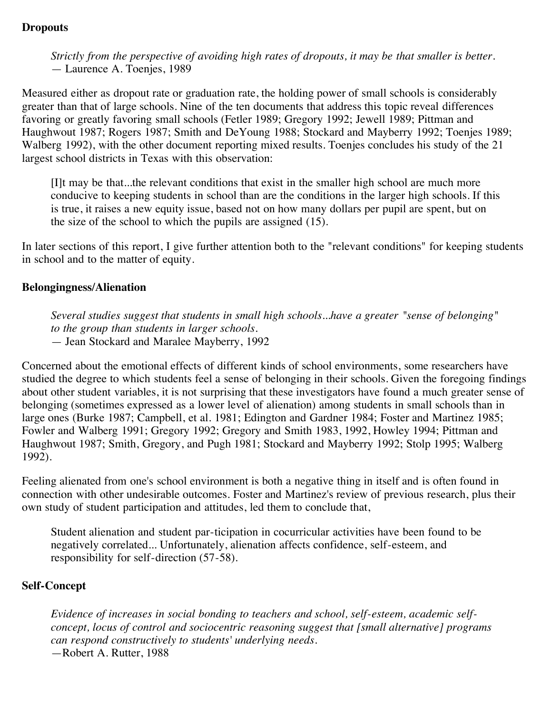## **Dropouts**

*Strictly from the perspective of avoiding high rates of dropouts, it may be that smaller is better.* — Laurence A. Toenjes, 1989

Measured either as dropout rate or graduation rate, the holding power of small schools is considerably greater than that of large schools. Nine of the ten documents that address this topic reveal differences favoring or greatly favoring small schools (Fetler 1989; Gregory 1992; Jewell 1989; Pittman and Haughwout 1987; Rogers 1987; Smith and DeYoung 1988; Stockard and Mayberry 1992; Toenjes 1989; Walberg 1992), with the other document reporting mixed results. Toenjes concludes his study of the 21 largest school districts in Texas with this observation:

[I]t may be that...the relevant conditions that exist in the smaller high school are much more conducive to keeping students in school than are the conditions in the larger high schools. If this is true, it raises a new equity issue, based not on how many dollars per pupil are spent, but on the size of the school to which the pupils are assigned (15).

In later sections of this report, I give further attention both to the "relevant conditions" for keeping students in school and to the matter of equity.

#### **Belongingness/Alienation**

*Several studies suggest that students in small high schools...have a greater "sense of belonging" to the group than students in larger schools.* — Jean Stockard and Maralee Mayberry, 1992

Concerned about the emotional effects of different kinds of school environments, some researchers have studied the degree to which students feel a sense of belonging in their schools. Given the foregoing findings about other student variables, it is not surprising that these investigators have found a much greater sense of belonging (sometimes expressed as a lower level of alienation) among students in small schools than in large ones (Burke 1987; Campbell, et al. 1981; Edington and Gardner 1984; Foster and Martinez 1985; Fowler and Walberg 1991; Gregory 1992; Gregory and Smith 1983, 1992, Howley 1994; Pittman and Haughwout 1987; Smith, Gregory, and Pugh 1981; Stockard and Mayberry 1992; Stolp 1995; Walberg 1992).

Feeling alienated from one's school environment is both a negative thing in itself and is often found in connection with other undesirable outcomes. Foster and Martinez's review of previous research, plus their own study of student participation and attitudes, led them to conclude that,

Student alienation and student par-ticipation in cocurricular activities have been found to be negatively correlated... Unfortunately, alienation affects confidence, self-esteem, and responsibility for self-direction (57-58).

#### **Self-Concept**

*Evidence of increases in social bonding to teachers and school, self-esteem, academic selfconcept, locus of control and sociocentric reasoning suggest that [small alternative] programs can respond constructively to students' underlying needs.* —Robert A. Rutter, 1988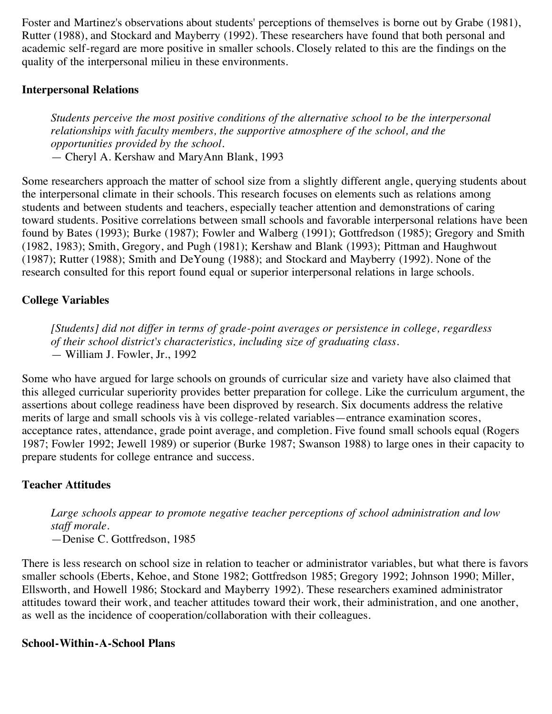Foster and Martinez's observations about students' perceptions of themselves is borne out by Grabe (1981), Rutter (1988), and Stockard and Mayberry (1992). These researchers have found that both personal and academic self-regard are more positive in smaller schools. Closely related to this are the findings on the quality of the interpersonal milieu in these environments.

## **Interpersonal Relations**

*Students perceive the most positive conditions of the alternative school to be the interpersonal relationships with faculty members, the supportive atmosphere of the school, and the opportunities provided by the school.* — Cheryl A. Kershaw and MaryAnn Blank, 1993

Some researchers approach the matter of school size from a slightly different angle, querying students about the interpersonal climate in their schools. This research focuses on elements such as relations among students and between students and teachers, especially teacher attention and demonstrations of caring toward students. Positive correlations between small schools and favorable interpersonal relations have been found by Bates (1993); Burke (1987); Fowler and Walberg (1991); Gottfredson (1985); Gregory and Smith (1982, 1983); Smith, Gregory, and Pugh (1981); Kershaw and Blank (1993); Pittman and Haughwout (1987); Rutter (1988); Smith and DeYoung (1988); and Stockard and Mayberry (1992). None of the research consulted for this report found equal or superior interpersonal relations in large schools.

## **College Variables**

*[Students] did not differ in terms of grade-point averages or persistence in college, regardless of their school district's characteristics, including size of graduating class.* — William J. Fowler, Jr., 1992

Some who have argued for large schools on grounds of curricular size and variety have also claimed that this alleged curricular superiority provides better preparation for college. Like the curriculum argument, the assertions about college readiness have been disproved by research. Six documents address the relative merits of large and small schools vis à vis college-related variables—entrance examination scores, acceptance rates, attendance, grade point average, and completion. Five found small schools equal (Rogers 1987; Fowler 1992; Jewell 1989) or superior (Burke 1987; Swanson 1988) to large ones in their capacity to prepare students for college entrance and success.

## **Teacher Attitudes**

*Large schools appear to promote negative teacher perceptions of school administration and low staff morale.*  —Denise C. Gottfredson, 1985

There is less research on school size in relation to teacher or administrator variables, but what there is favors smaller schools (Eberts, Kehoe, and Stone 1982; Gottfredson 1985; Gregory 1992; Johnson 1990; Miller, Ellsworth, and Howell 1986; Stockard and Mayberry 1992). These researchers examined administrator attitudes toward their work, and teacher attitudes toward their work, their administration, and one another, as well as the incidence of cooperation/collaboration with their colleagues.

#### **School-Within-A-School Plans**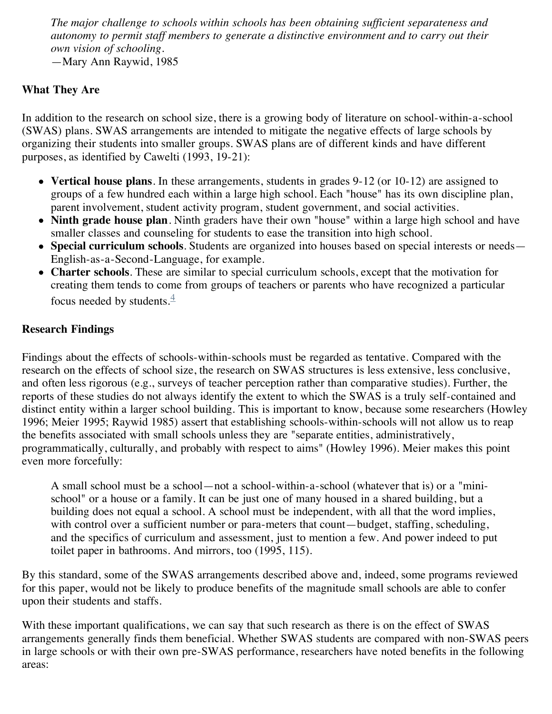*The major challenge to schools within schools has been obtaining sufficient separateness and autonomy to permit staff members to generate a distinctive environment and to carry out their own vision of schooling.*

—Mary Ann Raywid, 1985

## **What They Are**

In addition to the research on school size, there is a growing body of literature on school-within-a-school (SWAS) plans. SWAS arrangements are intended to mitigate the negative effects of large schools by organizing their students into smaller groups. SWAS plans are of different kinds and have different purposes, as identified by Cawelti (1993, 19-21):

- **Vertical house plans**. In these arrangements, students in grades 9-12 (or 10-12) are assigned to groups of a few hundred each within a large high school. Each "house" has its own discipline plan, parent involvement, student activity program, student government, and social activities.
- **Ninth grade house plan**. Ninth graders have their own "house" within a large high school and have smaller classes and counseling for students to ease the transition into high school.
- **Special curriculum schools**. Students are organized into houses based on special interests or needs— English-as-a-Second-Language, for example.
- **Charter schools**. These are similar to special curriculum schools, except that the motivation for creating them tends to come from groups of teachers or parents who have recognized a particular focus needed by students. $\frac{4}{3}$  $\frac{4}{3}$  $\frac{4}{3}$

## **Research Findings**

Findings about the effects of schools-within-schools must be regarded as tentative. Compared with the research on the effects of school size, the research on SWAS structures is less extensive, less conclusive, and often less rigorous (e.g., surveys of teacher perception rather than comparative studies). Further, the reports of these studies do not always identify the extent to which the SWAS is a truly self-contained and distinct entity within a larger school building. This is important to know, because some researchers (Howley 1996; Meier 1995; Raywid 1985) assert that establishing schools-within-schools will not allow us to reap the benefits associated with small schools unless they are "separate entities, administratively, programmatically, culturally, and probably with respect to aims" (Howley 1996). Meier makes this point even more forcefully:

A small school must be a school—not a school-within-a-school (whatever that is) or a "minischool" or a house or a family. It can be just one of many housed in a shared building, but a building does not equal a school. A school must be independent, with all that the word implies, with control over a sufficient number or para-meters that count—budget, staffing, scheduling, and the specifics of curriculum and assessment, just to mention a few. And power indeed to put toilet paper in bathrooms. And mirrors, too (1995, 115).

By this standard, some of the SWAS arrangements described above and, indeed, some programs reviewed for this paper, would not be likely to produce benefits of the magnitude small schools are able to confer upon their students and staffs.

With these important qualifications, we can say that such research as there is on the effect of SWAS arrangements generally finds them beneficial. Whether SWAS students are compared with non-SWAS peers in large schools or with their own pre-SWAS performance, researchers have noted benefits in the following areas: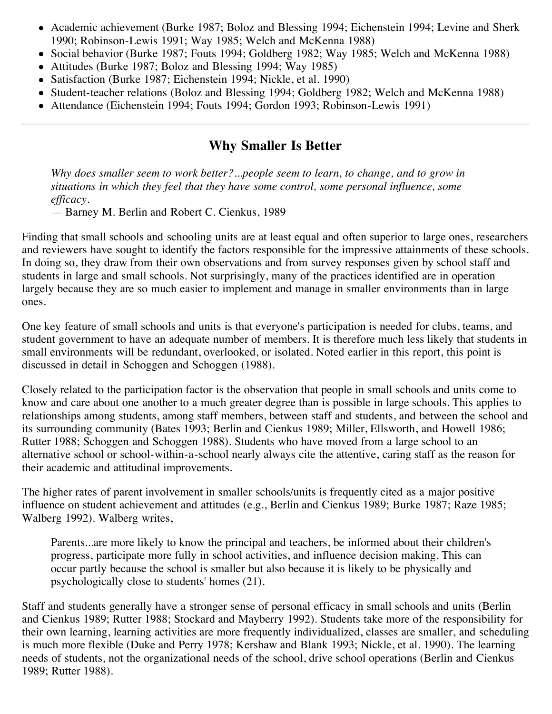- Academic achievement (Burke 1987; Boloz and Blessing 1994; Eichenstein 1994; Levine and Sherk 1990; Robinson-Lewis 1991; Way 1985; Welch and McKenna 1988)
- Social behavior (Burke 1987; Fouts 1994; Goldberg 1982; Way 1985; Welch and McKenna 1988)
- Attitudes (Burke 1987; Boloz and Blessing 1994; Way 1985)
- Satisfaction (Burke 1987; Eichenstein 1994; Nickle, et al. 1990)
- Student-teacher relations (Boloz and Blessing 1994; Goldberg 1982; Welch and McKenna 1988)
- Attendance (Eichenstein 1994; Fouts 1994; Gordon 1993; Robinson-Lewis 1991)

## **Why Smaller Is Better**

*Why does smaller seem to work better?...people seem to learn, to change, and to grow in situations in which they feel that they have some control, some personal influence, some efficacy.*

— Barney M. Berlin and Robert C. Cienkus, 1989

Finding that small schools and schooling units are at least equal and often superior to large ones, researchers and reviewers have sought to identify the factors responsible for the impressive attainments of these schools. In doing so, they draw from their own observations and from survey responses given by school staff and students in large and small schools. Not surprisingly, many of the practices identified are in operation largely because they are so much easier to implement and manage in smaller environments than in large ones.

One key feature of small schools and units is that everyone's participation is needed for clubs, teams, and student government to have an adequate number of members. It is therefore much less likely that students in small environments will be redundant, overlooked, or isolated. Noted earlier in this report, this point is discussed in detail in Schoggen and Schoggen (1988).

Closely related to the participation factor is the observation that people in small schools and units come to know and care about one another to a much greater degree than is possible in large schools. This applies to relationships among students, among staff members, between staff and students, and between the school and its surrounding community (Bates 1993; Berlin and Cienkus 1989; Miller, Ellsworth, and Howell 1986; Rutter 1988; Schoggen and Schoggen 1988). Students who have moved from a large school to an alternative school or school-within-a-school nearly always cite the attentive, caring staff as the reason for their academic and attitudinal improvements.

The higher rates of parent involvement in smaller schools/units is frequently cited as a major positive influence on student achievement and attitudes (e.g., Berlin and Cienkus 1989; Burke 1987; Raze 1985; Walberg 1992). Walberg writes,

Parents...are more likely to know the principal and teachers, be informed about their children's progress, participate more fully in school activities, and influence decision making. This can occur partly because the school is smaller but also because it is likely to be physically and psychologically close to students' homes (21).

Staff and students generally have a stronger sense of personal efficacy in small schools and units (Berlin and Cienkus 1989; Rutter 1988; Stockard and Mayberry 1992). Students take more of the responsibility for their own learning, learning activities are more frequently individualized, classes are smaller, and scheduling is much more flexible (Duke and Perry 1978; Kershaw and Blank 1993; Nickle, et al. 1990). The learning needs of students, not the organizational needs of the school, drive school operations (Berlin and Cienkus 1989; Rutter 1988).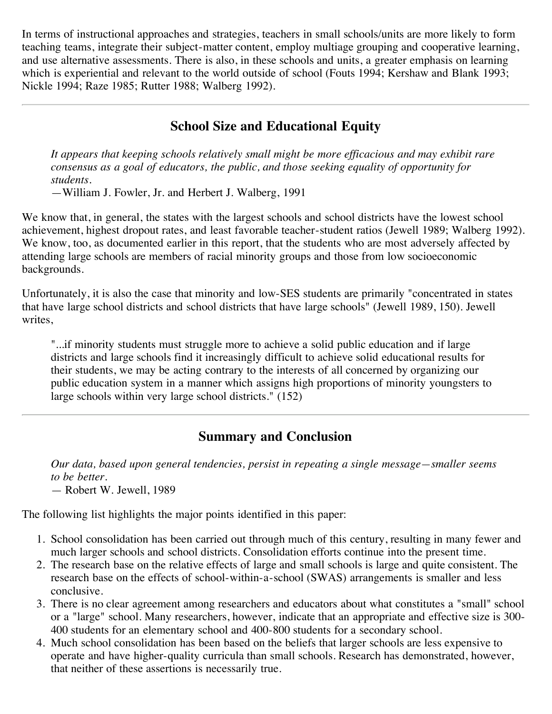In terms of instructional approaches and strategies, teachers in small schools/units are more likely to form teaching teams, integrate their subject-matter content, employ multiage grouping and cooperative learning, and use alternative assessments. There is also, in these schools and units, a greater emphasis on learning which is experiential and relevant to the world outside of school (Fouts 1994; Kershaw and Blank 1993; Nickle 1994; Raze 1985; Rutter 1988; Walberg 1992).

## **School Size and Educational Equity**

*It appears that keeping schools relatively small might be more efficacious and may exhibit rare consensus as a goal of educators, the public, and those seeking equality of opportunity for students.*

—William J. Fowler, Jr. and Herbert J. Walberg, 1991

We know that, in general, the states with the largest schools and school districts have the lowest school achievement, highest dropout rates, and least favorable teacher-student ratios (Jewell 1989; Walberg 1992). We know, too, as documented earlier in this report, that the students who are most adversely affected by attending large schools are members of racial minority groups and those from low socioeconomic backgrounds.

Unfortunately, it is also the case that minority and low-SES students are primarily "concentrated in states that have large school districts and school districts that have large schools" (Jewell 1989, 150). Jewell writes,

"...if minority students must struggle more to achieve a solid public education and if large districts and large schools find it increasingly difficult to achieve solid educational results for their students, we may be acting contrary to the interests of all concerned by organizing our public education system in a manner which assigns high proportions of minority youngsters to large schools within very large school districts." (152)

## **Summary and Conclusion**

*Our data, based upon general tendencies, persist in repeating a single message—smaller seems to be better.* — Robert W. Jewell, 1989

The following list highlights the major points identified in this paper:

- 1. School consolidation has been carried out through much of this century, resulting in many fewer and much larger schools and school districts. Consolidation efforts continue into the present time.
- 2. The research base on the relative effects of large and small schools is large and quite consistent. The research base on the effects of school-within-a-school (SWAS) arrangements is smaller and less conclusive.
- 3. There is no clear agreement among researchers and educators about what constitutes a "small" school or a "large" school. Many researchers, however, indicate that an appropriate and effective size is 300- 400 students for an elementary school and 400-800 students for a secondary school.
- 4. Much school consolidation has been based on the beliefs that larger schools are less expensive to operate and have higher-quality curricula than small schools. Research has demonstrated, however, that neither of these assertions is necessarily true.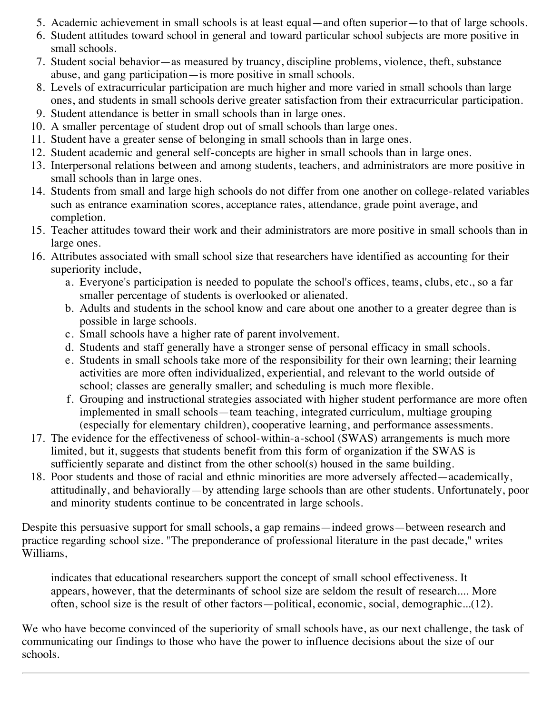- 5. Academic achievement in small schools is at least equal—and often superior—to that of large schools.
- 6. Student attitudes toward school in general and toward particular school subjects are more positive in small schools.
- 7. Student social behavior—as measured by truancy, discipline problems, violence, theft, substance abuse, and gang participation—is more positive in small schools.
- 8. Levels of extracurricular participation are much higher and more varied in small schools than large ones, and students in small schools derive greater satisfaction from their extracurricular participation.
- 9. Student attendance is better in small schools than in large ones.
- 10. A smaller percentage of student drop out of small schools than large ones.
- 11. Student have a greater sense of belonging in small schools than in large ones.
- 12. Student academic and general self-concepts are higher in small schools than in large ones.
- 13. Interpersonal relations between and among students, teachers, and administrators are more positive in small schools than in large ones.
- 14. Students from small and large high schools do not differ from one another on college-related variables such as entrance examination scores, acceptance rates, attendance, grade point average, and completion.
- 15. Teacher attitudes toward their work and their administrators are more positive in small schools than in large ones.
- 16. Attributes associated with small school size that researchers have identified as accounting for their superiority include,
	- a. Everyone's participation is needed to populate the school's offices, teams, clubs, etc., so a far smaller percentage of students is overlooked or alienated.
	- b. Adults and students in the school know and care about one another to a greater degree than is possible in large schools.
	- c. Small schools have a higher rate of parent involvement.
	- d. Students and staff generally have a stronger sense of personal efficacy in small schools.
	- e. Students in small schools take more of the responsibility for their own learning; their learning activities are more often individualized, experiential, and relevant to the world outside of school; classes are generally smaller; and scheduling is much more flexible.
	- f. Grouping and instructional strategies associated with higher student performance are more often implemented in small schools—team teaching, integrated curriculum, multiage grouping (especially for elementary children), cooperative learning, and performance assessments.
- 17. The evidence for the effectiveness of school-within-a-school (SWAS) arrangements is much more limited, but it, suggests that students benefit from this form of organization if the SWAS is sufficiently separate and distinct from the other school(s) housed in the same building.
- 18. Poor students and those of racial and ethnic minorities are more adversely affected—academically, attitudinally, and behaviorally—by attending large schools than are other students. Unfortunately, poor and minority students continue to be concentrated in large schools.

Despite this persuasive support for small schools, a gap remains—indeed grows—between research and practice regarding school size. "The preponderance of professional literature in the past decade," writes Williams,

indicates that educational researchers support the concept of small school effectiveness. It appears, however, that the determinants of school size are seldom the result of research.... More often, school size is the result of other factors—political, economic, social, demographic...(12).

We who have become convinced of the superiority of small schools have, as our next challenge, the task of communicating our findings to those who have the power to influence decisions about the size of our schools.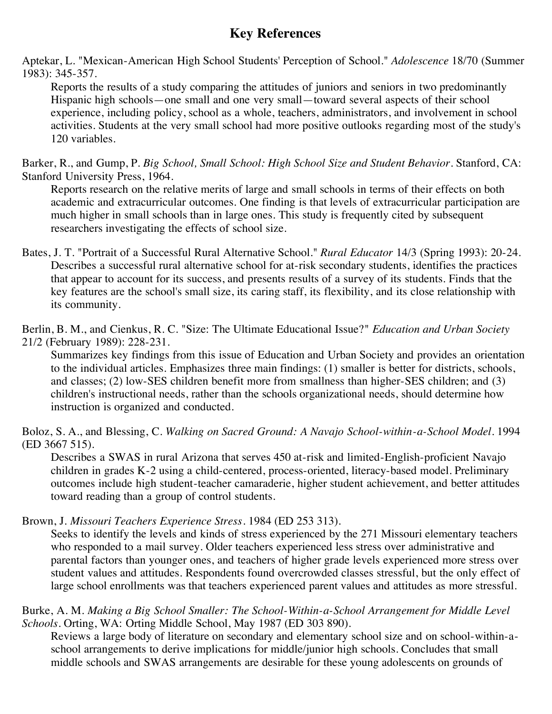## **Key References**

Aptekar, L. "Mexican-American High School Students' Perception of School." *Adolescence* 18/70 (Summer 1983): 345-357.

Reports the results of a study comparing the attitudes of juniors and seniors in two predominantly Hispanic high schools—one small and one very small—toward several aspects of their school experience, including policy, school as a whole, teachers, administrators, and involvement in school activities. Students at the very small school had more positive outlooks regarding most of the study's 120 variables.

Barker, R., and Gump, P. *Big School, Small School: High School Size and Student Behavior*. Stanford, CA: Stanford University Press, 1964.

Reports research on the relative merits of large and small schools in terms of their effects on both academic and extracurricular outcomes. One finding is that levels of extracurricular participation are much higher in small schools than in large ones. This study is frequently cited by subsequent researchers investigating the effects of school size.

Bates, J. T. "Portrait of a Successful Rural Alternative School." *Rural Educator* 14/3 (Spring 1993): 20-24. Describes a successful rural alternative school for at-risk secondary students, identifies the practices that appear to account for its success, and presents results of a survey of its students. Finds that the key features are the school's small size, its caring staff, its flexibility, and its close relationship with its community.

Berlin, B. M., and Cienkus, R. C. "Size: The Ultimate Educational Issue?" *Education and Urban Society* 21/2 (February 1989): 228-231.

Summarizes key findings from this issue of Education and Urban Society and provides an orientation to the individual articles. Emphasizes three main findings: (1) smaller is better for districts, schools, and classes; (2) low-SES children benefit more from smallness than higher-SES children; and (3) children's instructional needs, rather than the schools organizational needs, should determine how instruction is organized and conducted.

Boloz, S. A., and Blessing, C. *Walking on Sacred Ground: A Navajo School-within-a-School Model*. 1994 (ED 3667 515).

Describes a SWAS in rural Arizona that serves 450 at-risk and limited-English-proficient Navajo children in grades K-2 using a child-centered, process-oriented, literacy-based model. Preliminary outcomes include high student-teacher camaraderie, higher student achievement, and better attitudes toward reading than a group of control students.

Brown, J. *Missouri Teachers Experience Stress*. 1984 (ED 253 313).

Seeks to identify the levels and kinds of stress experienced by the 271 Missouri elementary teachers who responded to a mail survey. Older teachers experienced less stress over administrative and parental factors than younger ones, and teachers of higher grade levels experienced more stress over student values and attitudes. Respondents found overcrowded classes stressful, but the only effect of large school enrollments was that teachers experienced parent values and attitudes as more stressful.

#### Burke, A. M. *Making a Big School Smaller: The School-Within-a-School Arrangement for Middle Level Schools*. Orting, WA: Orting Middle School, May 1987 (ED 303 890).

Reviews a large body of literature on secondary and elementary school size and on school-within-aschool arrangements to derive implications for middle/junior high schools. Concludes that small middle schools and SWAS arrangements are desirable for these young adolescents on grounds of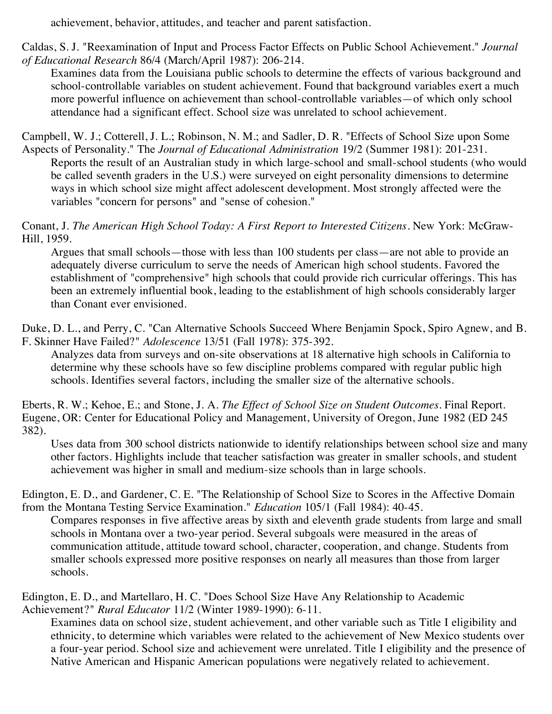achievement, behavior, attitudes, and teacher and parent satisfaction.

Caldas, S. J. "Reexamination of Input and Process Factor Effects on Public School Achievement." *Journal of Educational Research* 86/4 (March/April 1987): 206-214.

Examines data from the Louisiana public schools to determine the effects of various background and school-controllable variables on student achievement. Found that background variables exert a much more powerful influence on achievement than school-controllable variables—of which only school attendance had a significant effect. School size was unrelated to school achievement.

Campbell, W. J.; Cotterell, J. L.; Robinson, N. M.; and Sadler, D. R. "Effects of School Size upon Some Aspects of Personality." The *Journal of Educational Administration* 19/2 (Summer 1981): 201-231.

Reports the result of an Australian study in which large-school and small-school students (who would be called seventh graders in the U.S.) were surveyed on eight personality dimensions to determine ways in which school size might affect adolescent development. Most strongly affected were the variables "concern for persons" and "sense of cohesion."

Conant, J. *The American High School Today: A First Report to Interested Citizens*. New York: McGraw-Hill, 1959.

Argues that small schools—those with less than 100 students per class—are not able to provide an adequately diverse curriculum to serve the needs of American high school students. Favored the establishment of "comprehensive" high schools that could provide rich curricular offerings. This has been an extremely influential book, leading to the establishment of high schools considerably larger than Conant ever envisioned.

Duke, D. L., and Perry, C. "Can Alternative Schools Succeed Where Benjamin Spock, Spiro Agnew, and B. F. Skinner Have Failed?" *Adolescence* 13/51 (Fall 1978): 375-392.

Analyzes data from surveys and on-site observations at 18 alternative high schools in California to determine why these schools have so few discipline problems compared with regular public high schools. Identifies several factors, including the smaller size of the alternative schools.

Eberts, R. W.; Kehoe, E.; and Stone, J. A. *The Effect of School Size on Student Outcomes*. Final Report. Eugene, OR: Center for Educational Policy and Management, University of Oregon, June 1982 (ED 245 382).

Uses data from 300 school districts nationwide to identify relationships between school size and many other factors. Highlights include that teacher satisfaction was greater in smaller schools, and student achievement was higher in small and medium-size schools than in large schools.

Edington, E. D., and Gardener, C. E. "The Relationship of School Size to Scores in the Affective Domain from the Montana Testing Service Examination." *Education* 105/1 (Fall 1984): 40-45.

Compares responses in five affective areas by sixth and eleventh grade students from large and small schools in Montana over a two-year period. Several subgoals were measured in the areas of communication attitude, attitude toward school, character, cooperation, and change. Students from smaller schools expressed more positive responses on nearly all measures than those from larger schools.

Edington, E. D., and Martellaro, H. C. "Does School Size Have Any Relationship to Academic Achievement?" *Rural Educator* 11/2 (Winter 1989-1990): 6-11.

Examines data on school size, student achievement, and other variable such as Title I eligibility and ethnicity, to determine which variables were related to the achievement of New Mexico students over a four-year period. School size and achievement were unrelated. Title I eligibility and the presence of Native American and Hispanic American populations were negatively related to achievement.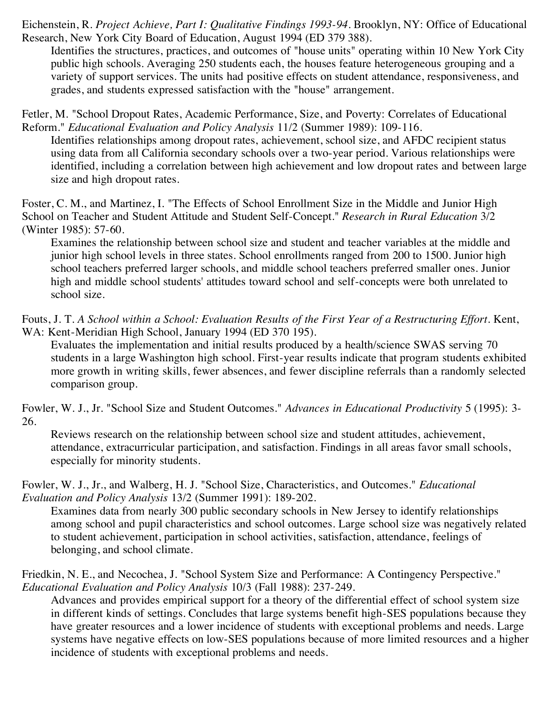Eichenstein, R. *Project Achieve, Part I: Qualitative Findings 1993-94*. Brooklyn, NY: Office of Educational Research, New York City Board of Education, August 1994 (ED 379 388).

Identifies the structures, practices, and outcomes of "house units" operating within 10 New York City public high schools. Averaging 250 students each, the houses feature heterogeneous grouping and a variety of support services. The units had positive effects on student attendance, responsiveness, and grades, and students expressed satisfaction with the "house" arrangement.

Fetler, M. "School Dropout Rates, Academic Performance, Size, and Poverty: Correlates of Educational Reform." *Educational Evaluation and Policy Analysis* 11/2 (Summer 1989): 109-116.

Identifies relationships among dropout rates, achievement, school size, and AFDC recipient status using data from all California secondary schools over a two-year period. Various relationships were identified, including a correlation between high achievement and low dropout rates and between large size and high dropout rates.

Foster, C. M., and Martinez, I. "The Effects of School Enrollment Size in the Middle and Junior High School on Teacher and Student Attitude and Student Self-Concept." *Research in Rural Education* 3/2 (Winter 1985): 57-60.

Examines the relationship between school size and student and teacher variables at the middle and junior high school levels in three states. School enrollments ranged from 200 to 1500. Junior high school teachers preferred larger schools, and middle school teachers preferred smaller ones. Junior high and middle school students' attitudes toward school and self-concepts were both unrelated to school size.

Fouts, J. T. *A School within a School: Evaluation Results of the First Year of a Restructuring Effort.* Kent, WA: Kent-Meridian High School, January 1994 (ED 370 195).

Evaluates the implementation and initial results produced by a health/science SWAS serving 70 students in a large Washington high school. First-year results indicate that program students exhibited more growth in writing skills, fewer absences, and fewer discipline referrals than a randomly selected comparison group.

Fowler, W. J., Jr. "School Size and Student Outcomes." *Advances in Educational Productivity* 5 (1995): 3- 26.

Reviews research on the relationship between school size and student attitudes, achievement, attendance, extracurricular participation, and satisfaction. Findings in all areas favor small schools, especially for minority students.

Fowler, W. J., Jr., and Walberg, H. J. "School Size, Characteristics, and Outcomes." *Educational Evaluation and Policy Analysis* 13/2 (Summer 1991): 189-202.

Examines data from nearly 300 public secondary schools in New Jersey to identify relationships among school and pupil characteristics and school outcomes. Large school size was negatively related to student achievement, participation in school activities, satisfaction, attendance, feelings of belonging, and school climate.

Friedkin, N. E., and Necochea, J. "School System Size and Performance: A Contingency Perspective." *Educational Evaluation and Policy Analysis* 10/3 (Fall 1988): 237-249.

Advances and provides empirical support for a theory of the differential effect of school system size in different kinds of settings. Concludes that large systems benefit high-SES populations because they have greater resources and a lower incidence of students with exceptional problems and needs. Large systems have negative effects on low-SES populations because of more limited resources and a higher incidence of students with exceptional problems and needs.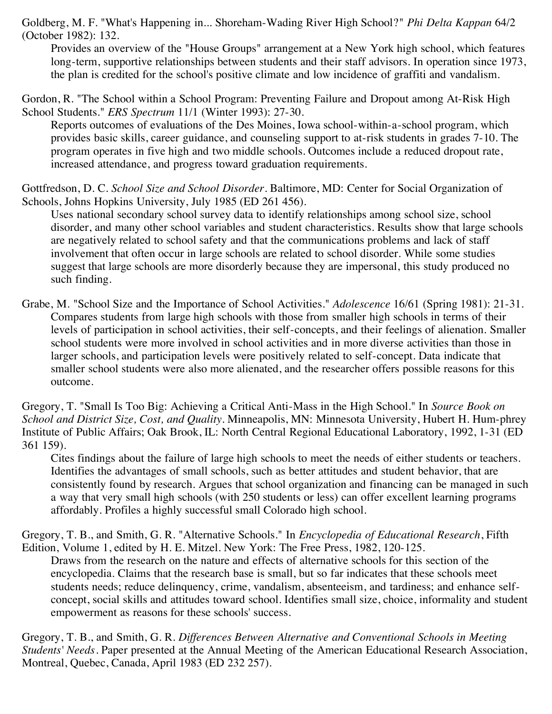Goldberg, M. F. "What's Happening in... Shoreham-Wading River High School?" *Phi Delta Kappan* 64/2 (October 1982): 132.

Provides an overview of the "House Groups" arrangement at a New York high school, which features long-term, supportive relationships between students and their staff advisors. In operation since 1973, the plan is credited for the school's positive climate and low incidence of graffiti and vandalism.

Gordon, R. "The School within a School Program: Preventing Failure and Dropout among At-Risk High School Students." *ERS Spectrum* 11/1 (Winter 1993): 27-30.

Reports outcomes of evaluations of the Des Moines, Iowa school-within-a-school program, which provides basic skills, career guidance, and counseling support to at-risk students in grades 7-10. The program operates in five high and two middle schools. Outcomes include a reduced dropout rate, increased attendance, and progress toward graduation requirements.

Gottfredson, D. C. *School Size and School Disorder*. Baltimore, MD: Center for Social Organization of Schools, Johns Hopkins University, July 1985 (ED 261 456).

Uses national secondary school survey data to identify relationships among school size, school disorder, and many other school variables and student characteristics. Results show that large schools are negatively related to school safety and that the communications problems and lack of staff involvement that often occur in large schools are related to school disorder. While some studies suggest that large schools are more disorderly because they are impersonal, this study produced no such finding.

Grabe, M. "School Size and the Importance of School Activities." *Adolescence* 16/61 (Spring 1981): 21-31. Compares students from large high schools with those from smaller high schools in terms of their levels of participation in school activities, their self-concepts, and their feelings of alienation. Smaller school students were more involved in school activities and in more diverse activities than those in larger schools, and participation levels were positively related to self-concept. Data indicate that smaller school students were also more alienated, and the researcher offers possible reasons for this outcome.

Gregory, T. "Small Is Too Big: Achieving a Critical Anti-Mass in the High School." In *Source Book on School and District Size, Cost, and Quality*. Minneapolis, MN: Minnesota University, Hubert H. Hum-phrey Institute of Public Affairs; Oak Brook, IL: North Central Regional Educational Laboratory, 1992, 1-31 (ED 361 159).

Cites findings about the failure of large high schools to meet the needs of either students or teachers. Identifies the advantages of small schools, such as better attitudes and student behavior, that are consistently found by research. Argues that school organization and financing can be managed in such a way that very small high schools (with 250 students or less) can offer excellent learning programs affordably. Profiles a highly successful small Colorado high school.

Gregory, T. B., and Smith, G. R. "Alternative Schools." In *Encyclopedia of Educational Research*, Fifth Edition, Volume 1, edited by H. E. Mitzel. New York: The Free Press, 1982, 120-125.

Draws from the research on the nature and effects of alternative schools for this section of the encyclopedia. Claims that the research base is small, but so far indicates that these schools meet students needs; reduce delinquency, crime, vandalism, absenteeism, and tardiness; and enhance selfconcept, social skills and attitudes toward school. Identifies small size, choice, informality and student empowerment as reasons for these schools' success.

Gregory, T. B., and Smith, G. R. *Differences Between Alternative and Conventional Schools in Meeting Students' Needs*. Paper presented at the Annual Meeting of the American Educational Research Association, Montreal, Quebec, Canada, April 1983 (ED 232 257).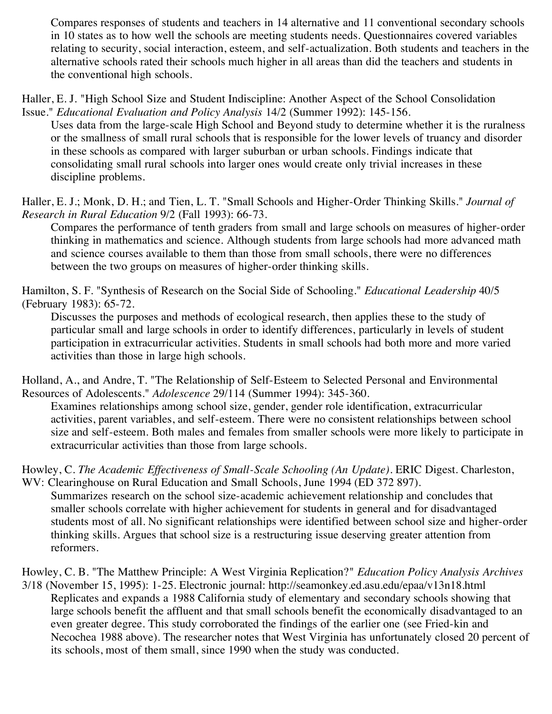Compares responses of students and teachers in 14 alternative and 11 conventional secondary schools in 10 states as to how well the schools are meeting students needs. Questionnaires covered variables relating to security, social interaction, esteem, and self-actualization. Both students and teachers in the alternative schools rated their schools much higher in all areas than did the teachers and students in the conventional high schools.

Haller, E. J. "High School Size and Student Indiscipline: Another Aspect of the School Consolidation Issue." *Educational Evaluation and Policy Analysis* 14/2 (Summer 1992): 145-156.

Uses data from the large-scale High School and Beyond study to determine whether it is the ruralness or the smallness of small rural schools that is responsible for the lower levels of truancy and disorder in these schools as compared with larger suburban or urban schools. Findings indicate that consolidating small rural schools into larger ones would create only trivial increases in these discipline problems.

Haller, E. J.; Monk, D. H.; and Tien, L. T. "Small Schools and Higher-Order Thinking Skills." *Journal of Research in Rural Education* 9/2 (Fall 1993): 66-73.

Compares the performance of tenth graders from small and large schools on measures of higher-order thinking in mathematics and science. Although students from large schools had more advanced math and science courses available to them than those from small schools, there were no differences between the two groups on measures of higher-order thinking skills.

Hamilton, S. F. "Synthesis of Research on the Social Side of Schooling." *Educational Leadership* 40/5 (February 1983): 65-72.

Discusses the purposes and methods of ecological research, then applies these to the study of particular small and large schools in order to identify differences, particularly in levels of student participation in extracurricular activities. Students in small schools had both more and more varied activities than those in large high schools.

Holland, A., and Andre, T. "The Relationship of Self-Esteem to Selected Personal and Environmental Resources of Adolescents." *Adolescence* 29/114 (Summer 1994): 345-360.

Examines relationships among school size, gender, gender role identification, extracurricular activities, parent variables, and self-esteem. There were no consistent relationships between school size and self-esteem. Both males and females from smaller schools were more likely to participate in extracurricular activities than those from large schools.

Howley, C. *The Academic Effectiveness of Small-Scale Schooling (An Update)*. ERIC Digest. Charleston, WV: Clearinghouse on Rural Education and Small Schools, June 1994 (ED 372 897).

Summarizes research on the school size-academic achievement relationship and concludes that smaller schools correlate with higher achievement for students in general and for disadvantaged students most of all. No significant relationships were identified between school size and higher-order thinking skills. Argues that school size is a restructuring issue deserving greater attention from reformers.

Howley, C. B. "The Matthew Principle: A West Virginia Replication?" *Education Policy Analysis Archives* 3/18 (November 15, 1995): 1-25. Electronic journal: http://seamonkey.ed.asu.edu/epaa/v13n18.html

Replicates and expands a 1988 California study of elementary and secondary schools showing that large schools benefit the affluent and that small schools benefit the economically disadvantaged to an even greater degree. This study corroborated the findings of the earlier one (see Fried-kin and Necochea 1988 above). The researcher notes that West Virginia has unfortunately closed 20 percent of its schools, most of them small, since 1990 when the study was conducted.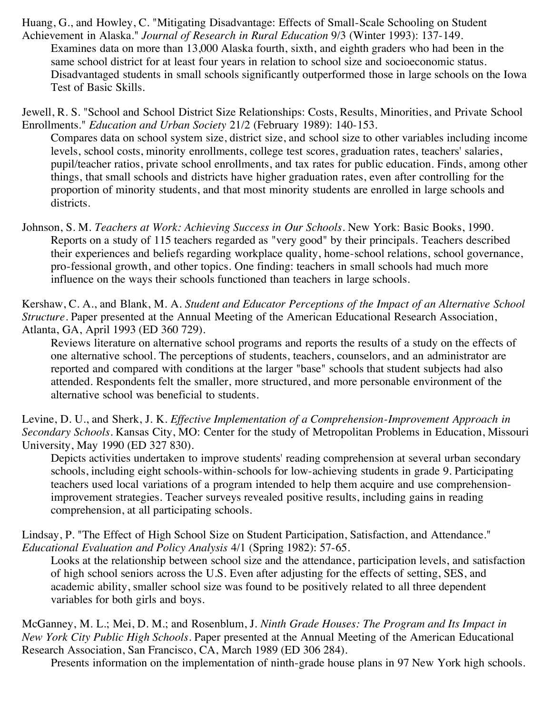Huang, G., and Howley, C. "Mitigating Disadvantage: Effects of Small-Scale Schooling on Student Achievement in Alaska." *Journal of Research in Rural Education* 9/3 (Winter 1993): 137-149.

Examines data on more than 13,000 Alaska fourth, sixth, and eighth graders who had been in the same school district for at least four years in relation to school size and socioeconomic status. Disadvantaged students in small schools significantly outperformed those in large schools on the Iowa Test of Basic Skills.

Jewell, R. S. "School and School District Size Relationships: Costs, Results, Minorities, and Private School Enrollments." *Education and Urban Society* 21/2 (February 1989): 140-153.

Compares data on school system size, district size, and school size to other variables including income levels, school costs, minority enrollments, college test scores, graduation rates, teachers' salaries, pupil/teacher ratios, private school enrollments, and tax rates for public education. Finds, among other things, that small schools and districts have higher graduation rates, even after controlling for the proportion of minority students, and that most minority students are enrolled in large schools and districts.

Johnson, S. M. *Teachers at Work: Achieving Success in Our Schools*. New York: Basic Books, 1990. Reports on a study of 115 teachers regarded as "very good" by their principals. Teachers described their experiences and beliefs regarding workplace quality, home-school relations, school governance, pro-fessional growth, and other topics. One finding: teachers in small schools had much more influence on the ways their schools functioned than teachers in large schools.

Kershaw, C. A., and Blank, M. A. *Student and Educator Perceptions of the Impact of an Alternative School Structure*. Paper presented at the Annual Meeting of the American Educational Research Association, Atlanta, GA, April 1993 (ED 360 729).

Reviews literature on alternative school programs and reports the results of a study on the effects of one alternative school. The perceptions of students, teachers, counselors, and an administrator are reported and compared with conditions at the larger "base" schools that student subjects had also attended. Respondents felt the smaller, more structured, and more personable environment of the alternative school was beneficial to students.

Levine, D. U., and Sherk, J. K. *Effective Implementation of a Comprehension-Improvement Approach in Secondary Schools*. Kansas City, MO: Center for the study of Metropolitan Problems in Education, Missouri University, May 1990 (ED 327 830).

Depicts activities undertaken to improve students' reading comprehension at several urban secondary schools, including eight schools-within-schools for low-achieving students in grade 9. Participating teachers used local variations of a program intended to help them acquire and use comprehensionimprovement strategies. Teacher surveys revealed positive results, including gains in reading comprehension, at all participating schools.

Lindsay, P. "The Effect of High School Size on Student Participation, Satisfaction, and Attendance." *Educational Evaluation and Policy Analysis* 4/1 (Spring 1982): 57-65.

Looks at the relationship between school size and the attendance, participation levels, and satisfaction of high school seniors across the U.S. Even after adjusting for the effects of setting, SES, and academic ability, smaller school size was found to be positively related to all three dependent variables for both girls and boys.

McGanney, M. L.; Mei, D. M.; and Rosenblum, J. *Ninth Grade Houses: The Program and Its Impact in New York City Public High Schools*. Paper presented at the Annual Meeting of the American Educational Research Association, San Francisco, CA, March 1989 (ED 306 284).

Presents information on the implementation of ninth-grade house plans in 97 New York high schools.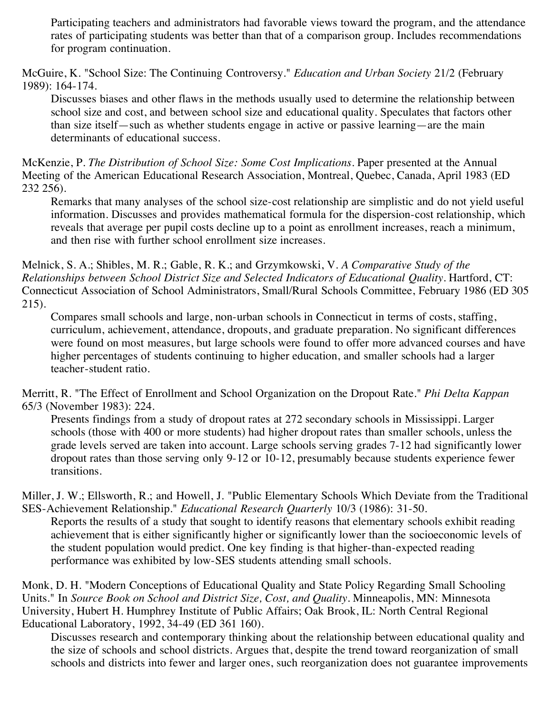Participating teachers and administrators had favorable views toward the program, and the attendance rates of participating students was better than that of a comparison group. Includes recommendations for program continuation.

McGuire, K. "School Size: The Continuing Controversy." *Education and Urban Society* 21/2 (February 1989): 164-174.

Discusses biases and other flaws in the methods usually used to determine the relationship between school size and cost, and between school size and educational quality. Speculates that factors other than size itself—such as whether students engage in active or passive learning—are the main determinants of educational success.

McKenzie, P. *The Distribution of School Size: Some Cost Implications*. Paper presented at the Annual Meeting of the American Educational Research Association, Montreal, Quebec, Canada, April 1983 (ED 232 256).

Remarks that many analyses of the school size-cost relationship are simplistic and do not yield useful information. Discusses and provides mathematical formula for the dispersion-cost relationship, which reveals that average per pupil costs decline up to a point as enrollment increases, reach a minimum, and then rise with further school enrollment size increases.

Melnick, S. A.; Shibles, M. R.; Gable, R. K.; and Grzymkowski, V. *A Comparative Study of the Relationships between School District Size and Selected Indicators of Educational Quality*. Hartford, CT: Connecticut Association of School Administrators, Small/Rural Schools Committee, February 1986 (ED 305 215).

Compares small schools and large, non-urban schools in Connecticut in terms of costs, staffing, curriculum, achievement, attendance, dropouts, and graduate preparation. No significant differences were found on most measures, but large schools were found to offer more advanced courses and have higher percentages of students continuing to higher education, and smaller schools had a larger teacher-student ratio.

Merritt, R. "The Effect of Enrollment and School Organization on the Dropout Rate." *Phi Delta Kappan* 65/3 (November 1983): 224.

Presents findings from a study of dropout rates at 272 secondary schools in Mississippi. Larger schools (those with 400 or more students) had higher dropout rates than smaller schools, unless the grade levels served are taken into account. Large schools serving grades 7-12 had significantly lower dropout rates than those serving only 9-12 or 10-12, presumably because students experience fewer transitions.

Miller, J. W.; Ellsworth, R.; and Howell, J. "Public Elementary Schools Which Deviate from the Traditional SES-Achievement Relationship." *Educational Research Quarterly* 10/3 (1986): 31-50.

Reports the results of a study that sought to identify reasons that elementary schools exhibit reading achievement that is either significantly higher or significantly lower than the socioeconomic levels of the student population would predict. One key finding is that higher-than-expected reading performance was exhibited by low-SES students attending small schools.

Monk, D. H. "Modern Conceptions of Educational Quality and State Policy Regarding Small Schooling Units." In *Source Book on School and District Size, Cost, and Quality*. Minneapolis, MN: Minnesota University, Hubert H. Humphrey Institute of Public Affairs; Oak Brook, IL: North Central Regional Educational Laboratory, 1992, 34-49 (ED 361 160).

Discusses research and contemporary thinking about the relationship between educational quality and the size of schools and school districts. Argues that, despite the trend toward reorganization of small schools and districts into fewer and larger ones, such reorganization does not guarantee improvements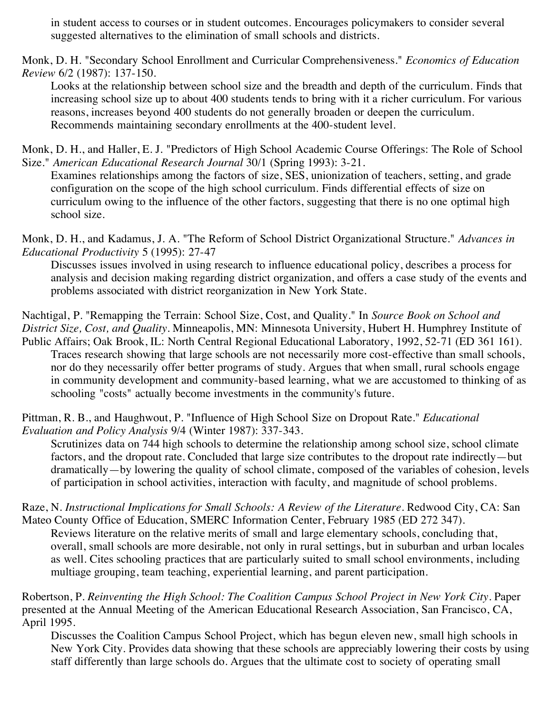in student access to courses or in student outcomes. Encourages policymakers to consider several suggested alternatives to the elimination of small schools and districts.

Monk, D. H. "Secondary School Enrollment and Curricular Comprehensiveness." *Economics of Education Review* 6/2 (1987): 137-150.

Looks at the relationship between school size and the breadth and depth of the curriculum. Finds that increasing school size up to about 400 students tends to bring with it a richer curriculum. For various reasons, increases beyond 400 students do not generally broaden or deepen the curriculum. Recommends maintaining secondary enrollments at the 400-student level.

Monk, D. H., and Haller, E. J. "Predictors of High School Academic Course Offerings: The Role of School Size." *American Educational Research Journal* 30/1 (Spring 1993): 3-21.

Examines relationships among the factors of size, SES, unionization of teachers, setting, and grade configuration on the scope of the high school curriculum. Finds differential effects of size on curriculum owing to the influence of the other factors, suggesting that there is no one optimal high school size.

Monk, D. H., and Kadamus, J. A. "The Reform of School District Organizational Structure." *Advances in Educational Productivity* 5 (1995): 27-47

Discusses issues involved in using research to influence educational policy, describes a process for analysis and decision making regarding district organization, and offers a case study of the events and problems associated with district reorganization in New York State.

Nachtigal, P. "Remapping the Terrain: School Size, Cost, and Quality." In *Source Book on School and District Size, Cost, and Quality*. Minneapolis, MN: Minnesota University, Hubert H. Humphrey Institute of

Public Affairs; Oak Brook, IL: North Central Regional Educational Laboratory, 1992, 52-71 (ED 361 161). Traces research showing that large schools are not necessarily more cost-effective than small schools, nor do they necessarily offer better programs of study. Argues that when small, rural schools engage in community development and community-based learning, what we are accustomed to thinking of as schooling "costs" actually become investments in the community's future.

Pittman, R. B., and Haughwout, P. "Influence of High School Size on Dropout Rate." *Educational Evaluation and Policy Analysis* 9/4 (Winter 1987): 337-343.

Scrutinizes data on 744 high schools to determine the relationship among school size, school climate factors, and the dropout rate. Concluded that large size contributes to the dropout rate indirectly—but dramatically—by lowering the quality of school climate, composed of the variables of cohesion, levels of participation in school activities, interaction with faculty, and magnitude of school problems.

Raze, N. *Instructional Implications for Small Schools: A Review of the Literature*. Redwood City, CA: San Mateo County Office of Education, SMERC Information Center, February 1985 (ED 272 347).

Reviews literature on the relative merits of small and large elementary schools, concluding that, overall, small schools are more desirable, not only in rural settings, but in suburban and urban locales as well. Cites schooling practices that are particularly suited to small school environments, including multiage grouping, team teaching, experiential learning, and parent participation.

Robertson, P. *Reinventing the High School: The Coalition Campus School Project in New York City*. Paper presented at the Annual Meeting of the American Educational Research Association, San Francisco, CA, April 1995.

Discusses the Coalition Campus School Project, which has begun eleven new, small high schools in New York City. Provides data showing that these schools are appreciably lowering their costs by using staff differently than large schools do. Argues that the ultimate cost to society of operating small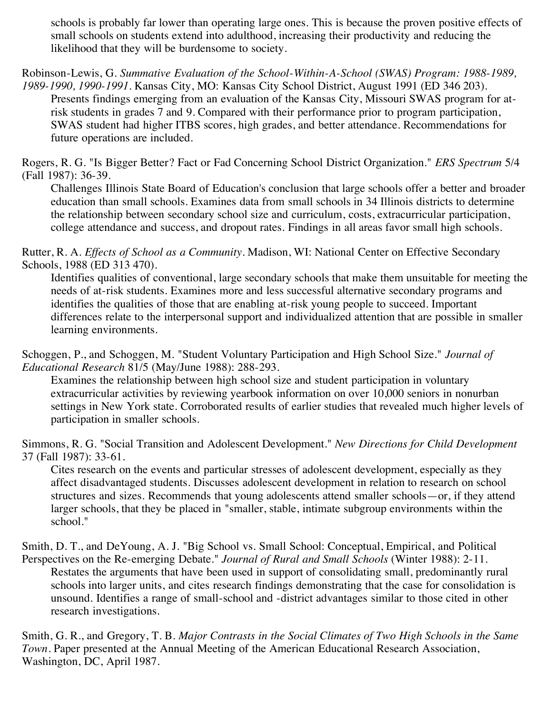schools is probably far lower than operating large ones. This is because the proven positive effects of small schools on students extend into adulthood, increasing their productivity and reducing the likelihood that they will be burdensome to society.

Robinson-Lewis, G. *Summative Evaluation of the School-Within-A-School (SWAS) Program: 1988-1989,*

*1989-1990, 1990-1991*. Kansas City, MO: Kansas City School District, August 1991 (ED 346 203). Presents findings emerging from an evaluation of the Kansas City, Missouri SWAS program for atrisk students in grades 7 and 9. Compared with their performance prior to program participation, SWAS student had higher ITBS scores, high grades, and better attendance. Recommendations for future operations are included.

Rogers, R. G. "Is Bigger Better? Fact or Fad Concerning School District Organization." *ERS Spectrum* 5/4 (Fall 1987): 36-39.

Challenges Illinois State Board of Education's conclusion that large schools offer a better and broader education than small schools. Examines data from small schools in 34 Illinois districts to determine the relationship between secondary school size and curriculum, costs, extracurricular participation, college attendance and success, and dropout rates. Findings in all areas favor small high schools.

Rutter, R. A. *Effects of School as a Community*. Madison, WI: National Center on Effective Secondary Schools, 1988 (ED 313 470).

Identifies qualities of conventional, large secondary schools that make them unsuitable for meeting the needs of at-risk students. Examines more and less successful alternative secondary programs and identifies the qualities of those that are enabling at-risk young people to succeed. Important differences relate to the interpersonal support and individualized attention that are possible in smaller learning environments.

Schoggen, P., and Schoggen, M. "Student Voluntary Participation and High School Size." *Journal of Educational Research* 81/5 (May/June 1988): 288-293.

Examines the relationship between high school size and student participation in voluntary extracurricular activities by reviewing yearbook information on over 10,000 seniors in nonurban settings in New York state. Corroborated results of earlier studies that revealed much higher levels of participation in smaller schools.

Simmons, R. G. "Social Transition and Adolescent Development." *New Directions for Child Development* 37 (Fall 1987): 33-61.

Cites research on the events and particular stresses of adolescent development, especially as they affect disadvantaged students. Discusses adolescent development in relation to research on school structures and sizes. Recommends that young adolescents attend smaller schools—or, if they attend larger schools, that they be placed in "smaller, stable, intimate subgroup environments within the school."

Smith, D. T., and DeYoung, A. J. "Big School vs. Small School: Conceptual, Empirical, and Political Perspectives on the Re-emerging Debate." *Journal of Rural and Small Schools* (Winter 1988): 2-11.

Restates the arguments that have been used in support of consolidating small, predominantly rural schools into larger units, and cites research findings demonstrating that the case for consolidation is unsound. Identifies a range of small-school and -district advantages similar to those cited in other research investigations.

Smith, G. R., and Gregory, T. B. *Major Contrasts in the Social Climates of Two High Schools in the Same Town*. Paper presented at the Annual Meeting of the American Educational Research Association, Washington, DC, April 1987.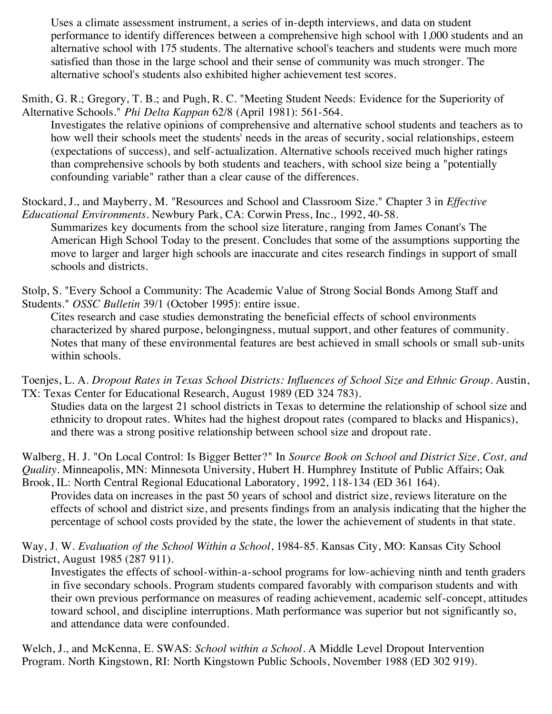Uses a climate assessment instrument, a series of in-depth interviews, and data on student performance to identify differences between a comprehensive high school with 1,000 students and an alternative school with 175 students. The alternative school's teachers and students were much more satisfied than those in the large school and their sense of community was much stronger. The alternative school's students also exhibited higher achievement test scores.

Smith, G. R.; Gregory, T. B.; and Pugh, R. C. "Meeting Student Needs: Evidence for the Superiority of Alternative Schools." *Phi Delta Kappan* 62/8 (April 1981): 561-564.

Investigates the relative opinions of comprehensive and alternative school students and teachers as to how well their schools meet the students' needs in the areas of security, social relationships, esteem (expectations of success), and self-actualization. Alternative schools received much higher ratings than comprehensive schools by both students and teachers, with school size being a "potentially confounding variable" rather than a clear cause of the differences.

Stockard, J., and Mayberry, M. "Resources and School and Classroom Size." Chapter 3 in *Effective Educational Environments*. Newbury Park, CA: Corwin Press, Inc., 1992, 40-58.

Summarizes key documents from the school size literature, ranging from James Conant's The American High School Today to the present. Concludes that some of the assumptions supporting the move to larger and larger high schools are inaccurate and cites research findings in support of small schools and districts.

Stolp, S. "Every School a Community: The Academic Value of Strong Social Bonds Among Staff and Students." *OSSC Bulletin* 39/1 (October 1995): entire issue.

Cites research and case studies demonstrating the beneficial effects of school environments characterized by shared purpose, belongingness, mutual support, and other features of community. Notes that many of these environmental features are best achieved in small schools or small sub-units within schools.

Toenjes, L. A. *Dropout Rates in Texas School Districts: Influences of School Size and Ethnic Group*. Austin, TX: Texas Center for Educational Research, August 1989 (ED 324 783).

Studies data on the largest 21 school districts in Texas to determine the relationship of school size and ethnicity to dropout rates. Whites had the highest dropout rates (compared to blacks and Hispanics), and there was a strong positive relationship between school size and dropout rate.

Walberg, H. J. "On Local Control: Is Bigger Better?" In *Source Book on School and District Size, Cost, and Quality*. Minneapolis, MN: Minnesota University, Hubert H. Humphrey Institute of Public Affairs; Oak Brook, IL: North Central Regional Educational Laboratory, 1992, 118-134 (ED 361 164).

Provides data on increases in the past 50 years of school and district size, reviews literature on the effects of school and district size, and presents findings from an analysis indicating that the higher the percentage of school costs provided by the state, the lower the achievement of students in that state.

Way, J. W. *Evaluation of the School Within a School*, 1984-85. Kansas City, MO: Kansas City School District, August 1985 (287 911).

Investigates the effects of school-within-a-school programs for low-achieving ninth and tenth graders in five secondary schools. Program students compared favorably with comparison students and with their own previous performance on measures of reading achievement, academic self-concept, attitudes toward school, and discipline interruptions. Math performance was superior but not significantly so, and attendance data were confounded.

Welch, J., and McKenna, E. SWAS: *School within a School*. A Middle Level Dropout Intervention Program. North Kingstown, RI: North Kingstown Public Schools, November 1988 (ED 302 919).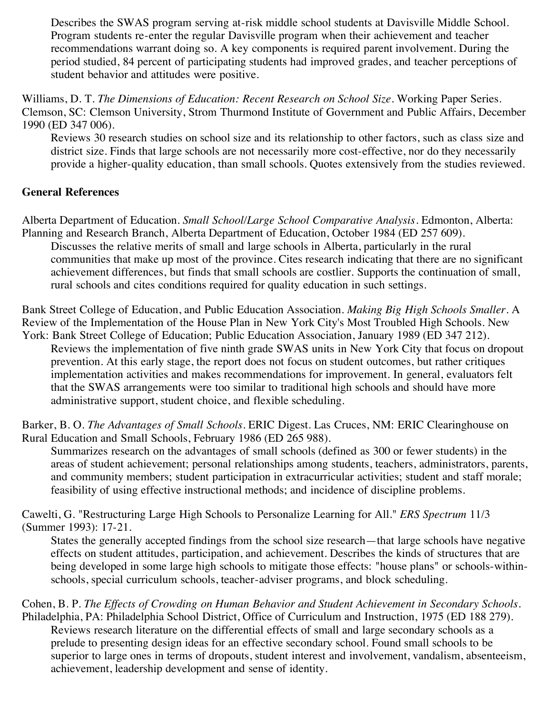Describes the SWAS program serving at-risk middle school students at Davisville Middle School. Program students re-enter the regular Davisville program when their achievement and teacher recommendations warrant doing so. A key components is required parent involvement. During the period studied, 84 percent of participating students had improved grades, and teacher perceptions of student behavior and attitudes were positive.

Williams, D. T. *The Dimensions of Education: Recent Research on School Size*. Working Paper Series. Clemson, SC: Clemson University, Strom Thurmond Institute of Government and Public Affairs, December 1990 (ED 347 006).

Reviews 30 research studies on school size and its relationship to other factors, such as class size and district size. Finds that large schools are not necessarily more cost-effective, nor do they necessarily provide a higher-quality education, than small schools. Quotes extensively from the studies reviewed.

## **General References**

Alberta Department of Education. *Small School/Large School Comparative Analysis*. Edmonton, Alberta: Planning and Research Branch, Alberta Department of Education, October 1984 (ED 257 609).

Discusses the relative merits of small and large schools in Alberta, particularly in the rural communities that make up most of the province. Cites research indicating that there are no significant achievement differences, but finds that small schools are costlier. Supports the continuation of small, rural schools and cites conditions required for quality education in such settings.

Bank Street College of Education, and Public Education Association. *Making Big High Schools Smaller*. A Review of the Implementation of the House Plan in New York City's Most Troubled High Schools. New

York: Bank Street College of Education; Public Education Association, January 1989 (ED 347 212). Reviews the implementation of five ninth grade SWAS units in New York City that focus on dropout prevention. At this early stage, the report does not focus on student outcomes, but rather critiques implementation activities and makes recommendations for improvement. In general, evaluators felt that the SWAS arrangements were too similar to traditional high schools and should have more administrative support, student choice, and flexible scheduling.

Barker, B. O. *The Advantages of Small Schools*. ERIC Digest. Las Cruces, NM: ERIC Clearinghouse on Rural Education and Small Schools, February 1986 (ED 265 988).

Summarizes research on the advantages of small schools (defined as 300 or fewer students) in the areas of student achievement; personal relationships among students, teachers, administrators, parents, and community members; student participation in extracurricular activities; student and staff morale; feasibility of using effective instructional methods; and incidence of discipline problems.

Cawelti, G. "Restructuring Large High Schools to Personalize Learning for All." *ERS Spectrum* 11/3 (Summer 1993): 17-21.

States the generally accepted findings from the school size research—that large schools have negative effects on student attitudes, participation, and achievement. Describes the kinds of structures that are being developed in some large high schools to mitigate those effects: "house plans" or schools-withinschools, special curriculum schools, teacher-adviser programs, and block scheduling.

Cohen, B. P. *The Effects of Crowding on Human Behavior and Student Achievement in Secondary Schools*. Philadelphia, PA: Philadelphia School District, Office of Curriculum and Instruction, 1975 (ED 188 279). Reviews research literature on the differential effects of small and large secondary schools as a prelude to presenting design ideas for an effective secondary school. Found small schools to be superior to large ones in terms of dropouts, student interest and involvement, vandalism, absenteeism, achievement, leadership development and sense of identity.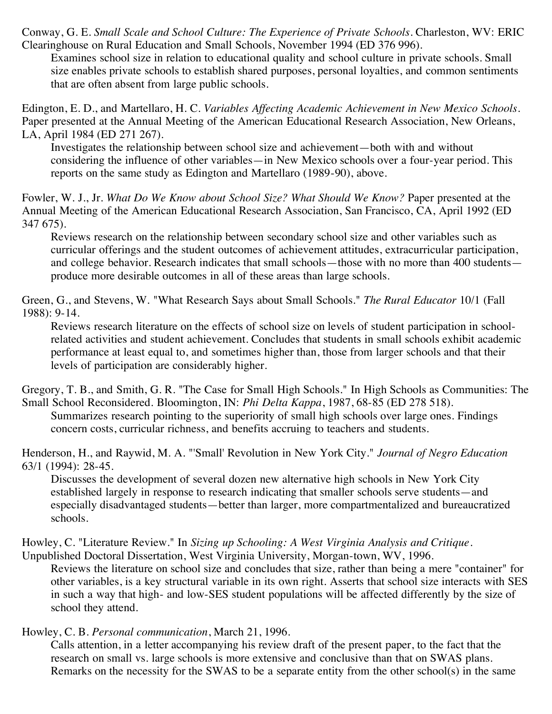Conway, G. E. *Small Scale and School Culture: The Experience of Private Schools*. Charleston, WV: ERIC Clearinghouse on Rural Education and Small Schools, November 1994 (ED 376 996).

Examines school size in relation to educational quality and school culture in private schools. Small size enables private schools to establish shared purposes, personal loyalties, and common sentiments that are often absent from large public schools.

Edington, E. D., and Martellaro, H. C. *Variables Affecting Academic Achievement in New Mexico Schools*. Paper presented at the Annual Meeting of the American Educational Research Association, New Orleans, LA, April 1984 (ED 271 267).

Investigates the relationship between school size and achievement—both with and without considering the influence of other variables—in New Mexico schools over a four-year period. This reports on the same study as Edington and Martellaro (1989-90), above.

Fowler, W. J., Jr. *What Do We Know about School Size? What Should We Know?* Paper presented at the Annual Meeting of the American Educational Research Association, San Francisco, CA, April 1992 (ED 347 675).

Reviews research on the relationship between secondary school size and other variables such as curricular offerings and the student outcomes of achievement attitudes, extracurricular participation, and college behavior. Research indicates that small schools—those with no more than 400 students produce more desirable outcomes in all of these areas than large schools.

Green, G., and Stevens, W. "What Research Says about Small Schools." *The Rural Educator* 10/1 (Fall 1988): 9-14.

Reviews research literature on the effects of school size on levels of student participation in schoolrelated activities and student achievement. Concludes that students in small schools exhibit academic performance at least equal to, and sometimes higher than, those from larger schools and that their levels of participation are considerably higher.

Gregory, T. B., and Smith, G. R. "The Case for Small High Schools." In High Schools as Communities: The Small School Reconsidered. Bloomington, IN: *Phi Delta Kappa*, 1987, 68-85 (ED 278 518).

Summarizes research pointing to the superiority of small high schools over large ones. Findings concern costs, curricular richness, and benefits accruing to teachers and students.

Henderson, H., and Raywid, M. A. "'Small' Revolution in New York City." *Journal of Negro Education* 63/1 (1994): 28-45.

Discusses the development of several dozen new alternative high schools in New York City established largely in response to research indicating that smaller schools serve students—and especially disadvantaged students—better than larger, more compartmentalized and bureaucratized schools.

Howley, C. "Literature Review." In *Sizing up Schooling: A West Virginia Analysis and Critique*.

Unpublished Doctoral Dissertation, West Virginia University, Morgan-town, WV, 1996. Reviews the literature on school size and concludes that size, rather than being a mere "container" for other variables, is a key structural variable in its own right. Asserts that school size interacts with SES in such a way that high- and low-SES student populations will be affected differently by the size of school they attend.

Howley, C. B. *Personal communication*, March 21, 1996.

Calls attention, in a letter accompanying his review draft of the present paper, to the fact that the research on small vs. large schools is more extensive and conclusive than that on SWAS plans. Remarks on the necessity for the SWAS to be a separate entity from the other school(s) in the same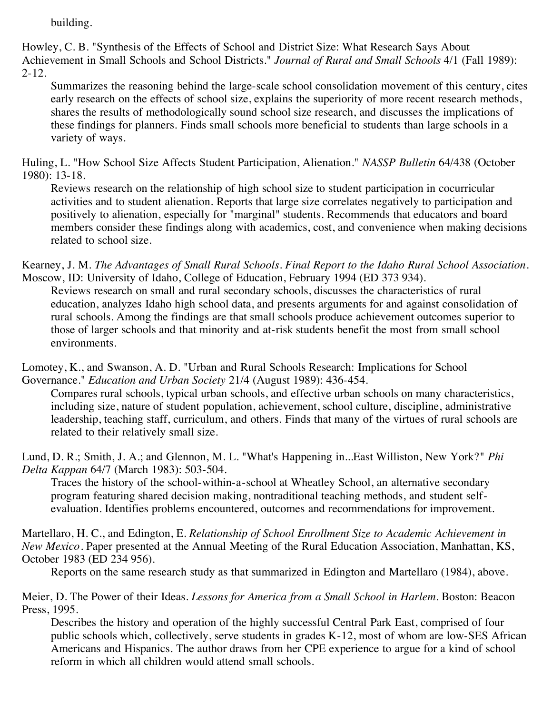building.

Howley, C. B. "Synthesis of the Effects of School and District Size: What Research Says About Achievement in Small Schools and School Districts." *Journal of Rural and Small Schools* 4/1 (Fall 1989): 2-12.

Summarizes the reasoning behind the large-scale school consolidation movement of this century, cites early research on the effects of school size, explains the superiority of more recent research methods, shares the results of methodologically sound school size research, and discusses the implications of these findings for planners. Finds small schools more beneficial to students than large schools in a variety of ways.

Huling, L. "How School Size Affects Student Participation, Alienation." *NASSP Bulletin* 64/438 (October 1980): 13-18.

Reviews research on the relationship of high school size to student participation in cocurricular activities and to student alienation. Reports that large size correlates negatively to participation and positively to alienation, especially for "marginal" students. Recommends that educators and board members consider these findings along with academics, cost, and convenience when making decisions related to school size.

Kearney, J. M. *The Advantages of Small Rural Schools. Final Report to the Idaho Rural School Association*. Moscow, ID: University of Idaho, College of Education, February 1994 (ED 373 934).

Reviews research on small and rural secondary schools, discusses the characteristics of rural education, analyzes Idaho high school data, and presents arguments for and against consolidation of rural schools. Among the findings are that small schools produce achievement outcomes superior to those of larger schools and that minority and at-risk students benefit the most from small school environments.

Lomotey, K., and Swanson, A. D. "Urban and Rural Schools Research: Implications for School Governance." *Education and Urban Society* 21/4 (August 1989): 436-454.

Compares rural schools, typical urban schools, and effective urban schools on many characteristics, including size, nature of student population, achievement, school culture, discipline, administrative leadership, teaching staff, curriculum, and others. Finds that many of the virtues of rural schools are related to their relatively small size.

Lund, D. R.; Smith, J. A.; and Glennon, M. L. "What's Happening in...East Williston, New York?" *Phi Delta Kappan* 64/7 (March 1983): 503-504.

Traces the history of the school-within-a-school at Wheatley School, an alternative secondary program featuring shared decision making, nontraditional teaching methods, and student selfevaluation. Identifies problems encountered, outcomes and recommendations for improvement.

Martellaro, H. C., and Edington, E. *Relationship of School Enrollment Size to Academic Achievement in New Mexico*. Paper presented at the Annual Meeting of the Rural Education Association, Manhattan, KS, October 1983 (ED 234 956).

Reports on the same research study as that summarized in Edington and Martellaro (1984), above.

Meier, D. The Power of their Ideas. *Lessons for America from a Small School in Harlem*. Boston: Beacon Press, 1995.

Describes the history and operation of the highly successful Central Park East, comprised of four public schools which, collectively, serve students in grades K-12, most of whom are low-SES African Americans and Hispanics. The author draws from her CPE experience to argue for a kind of school reform in which all children would attend small schools.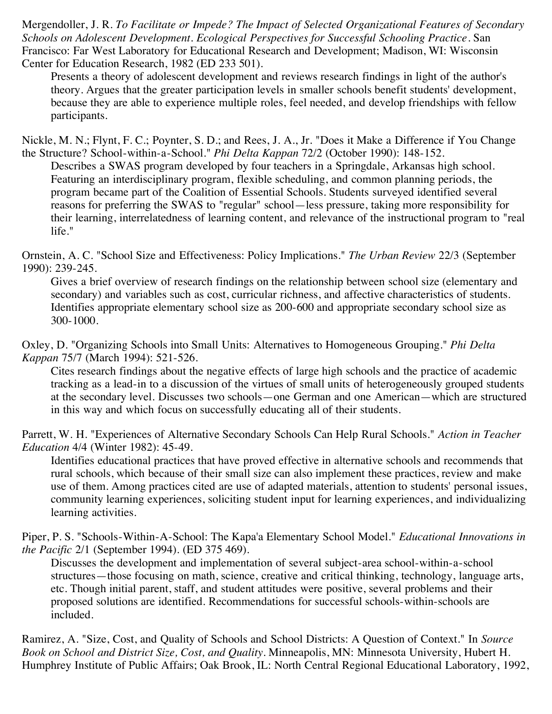Mergendoller, J. R. *To Facilitate or Impede? The Impact of Selected Organizational Features of Secondary Schools on Adolescent Development. Ecological Perspectives for Successful Schooling Practice*. San Francisco: Far West Laboratory for Educational Research and Development; Madison, WI: Wisconsin Center for Education Research, 1982 (ED 233 501).

Presents a theory of adolescent development and reviews research findings in light of the author's theory. Argues that the greater participation levels in smaller schools benefit students' development, because they are able to experience multiple roles, feel needed, and develop friendships with fellow participants.

Nickle, M. N.; Flynt, F. C.; Poynter, S. D.; and Rees, J. A., Jr. "Does it Make a Difference if You Change the Structure? School-within-a-School." *Phi Delta Kappan* 72/2 (October 1990): 148-152.

Describes a SWAS program developed by four teachers in a Springdale, Arkansas high school. Featuring an interdisciplinary program, flexible scheduling, and common planning periods, the program became part of the Coalition of Essential Schools. Students surveyed identified several reasons for preferring the SWAS to "regular" school—less pressure, taking more responsibility for their learning, interrelatedness of learning content, and relevance of the instructional program to "real life."

Ornstein, A. C. "School Size and Effectiveness: Policy Implications." *The Urban Review* 22/3 (September 1990): 239-245.

Gives a brief overview of research findings on the relationship between school size (elementary and secondary) and variables such as cost, curricular richness, and affective characteristics of students. Identifies appropriate elementary school size as 200-600 and appropriate secondary school size as 300-1000.

Oxley, D. "Organizing Schools into Small Units: Alternatives to Homogeneous Grouping." *Phi Delta Kappan* 75/7 (March 1994): 521-526.

Cites research findings about the negative effects of large high schools and the practice of academic tracking as a lead-in to a discussion of the virtues of small units of heterogeneously grouped students at the secondary level. Discusses two schools—one German and one American—which are structured in this way and which focus on successfully educating all of their students.

Parrett, W. H. "Experiences of Alternative Secondary Schools Can Help Rural Schools." *Action in Teacher Education* 4/4 (Winter 1982): 45-49.

Identifies educational practices that have proved effective in alternative schools and recommends that rural schools, which because of their small size can also implement these practices, review and make use of them. Among practices cited are use of adapted materials, attention to students' personal issues, community learning experiences, soliciting student input for learning experiences, and individualizing learning activities.

Piper, P. S. "Schools-Within-A-School: The Kapa'a Elementary School Model." *Educational Innovations in the Pacific* 2/1 (September 1994). (ED 375 469).

Discusses the development and implementation of several subject-area school-within-a-school structures—those focusing on math, science, creative and critical thinking, technology, language arts, etc. Though initial parent, staff, and student attitudes were positive, several problems and their proposed solutions are identified. Recommendations for successful schools-within-schools are included.

Ramirez, A. "Size, Cost, and Quality of Schools and School Districts: A Question of Context." In *Source Book on School and District Size, Cost, and Quality*. Minneapolis, MN: Minnesota University, Hubert H. Humphrey Institute of Public Affairs; Oak Brook, IL: North Central Regional Educational Laboratory, 1992,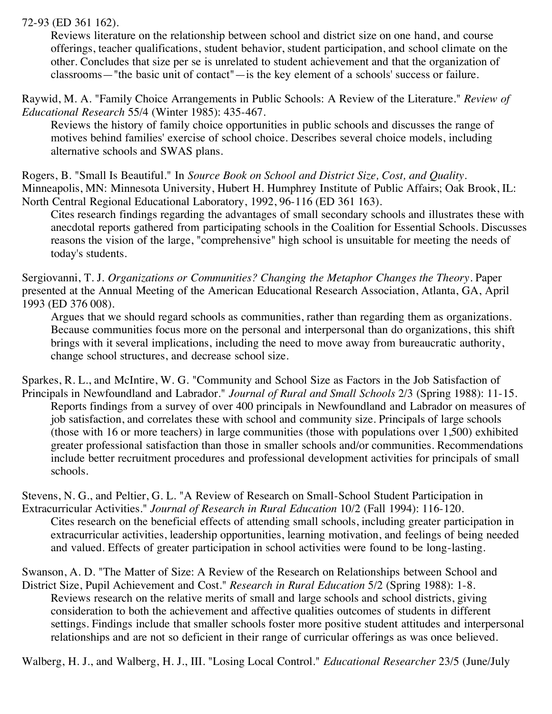72-93 (ED 361 162).

Reviews literature on the relationship between school and district size on one hand, and course offerings, teacher qualifications, student behavior, student participation, and school climate on the other. Concludes that size per se is unrelated to student achievement and that the organization of classrooms—"the basic unit of contact"—is the key element of a schools' success or failure.

Raywid, M. A. "Family Choice Arrangements in Public Schools: A Review of the Literature." *Review of Educational Research* 55/4 (Winter 1985): 435-467.

Reviews the history of family choice opportunities in public schools and discusses the range of motives behind families' exercise of school choice. Describes several choice models, including alternative schools and SWAS plans.

Rogers, B. "Small Is Beautiful." In *Source Book on School and District Size, Cost, and Quality*. Minneapolis, MN: Minnesota University, Hubert H. Humphrey Institute of Public Affairs; Oak Brook, IL: North Central Regional Educational Laboratory, 1992, 96-116 (ED 361 163).

Cites research findings regarding the advantages of small secondary schools and illustrates these with anecdotal reports gathered from participating schools in the Coalition for Essential Schools. Discusses reasons the vision of the large, "comprehensive" high school is unsuitable for meeting the needs of today's students.

Sergiovanni, T. J. *Organizations or Communities? Changing the Metaphor Changes the Theory*. Paper presented at the Annual Meeting of the American Educational Research Association, Atlanta, GA, April 1993 (ED 376 008).

Argues that we should regard schools as communities, rather than regarding them as organizations. Because communities focus more on the personal and interpersonal than do organizations, this shift brings with it several implications, including the need to move away from bureaucratic authority, change school structures, and decrease school size.

Sparkes, R. L., and McIntire, W. G. "Community and School Size as Factors in the Job Satisfaction of Principals in Newfoundland and Labrador." *Journal of Rural and Small Schools* 2/3 (Spring 1988): 11-15. Reports findings from a survey of over 400 principals in Newfoundland and Labrador on measures of job satisfaction, and correlates these with school and community size. Principals of large schools (those with 16 or more teachers) in large communities (those with populations over 1,500) exhibited greater professional satisfaction than those in smaller schools and/or communities. Recommendations include better recruitment procedures and professional development activities for principals of small schools.

Stevens, N. G., and Peltier, G. L. "A Review of Research on Small-School Student Participation in Extracurricular Activities." *Journal of Research in Rural Education* 10/2 (Fall 1994): 116-120. Cites research on the beneficial effects of attending small schools, including greater participation in extracurricular activities, leadership opportunities, learning motivation, and feelings of being needed and valued. Effects of greater participation in school activities were found to be long-lasting.

Swanson, A. D. "The Matter of Size: A Review of the Research on Relationships between School and District Size, Pupil Achievement and Cost." *Research in Rural Education* 5/2 (Spring 1988): 1-8. Reviews research on the relative merits of small and large schools and school districts, giving consideration to both the achievement and affective qualities outcomes of students in different settings. Findings include that smaller schools foster more positive student attitudes and interpersonal relationships and are not so deficient in their range of curricular offerings as was once believed.

Walberg, H. J., and Walberg, H. J., III. "Losing Local Control." *Educational Researcher* 23/5 (June/July